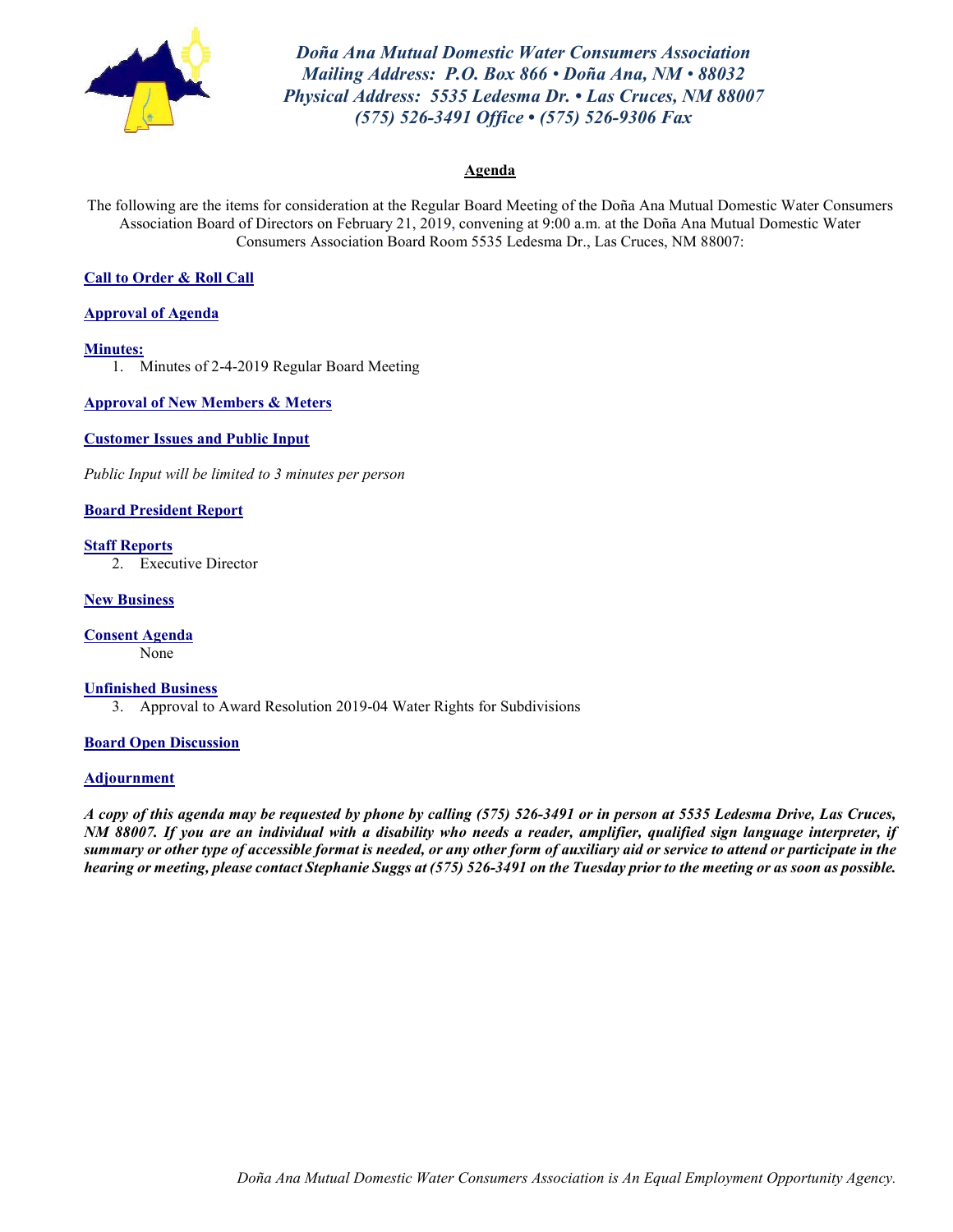

*Doña Ana Mutual Domestic Water Consumers Association Mailing Address: P.O. Box 866 • Doña Ana, NM • 88032 Physical Address: 5535 Ledesma Dr. • Las Cruces, NM 88007 (575) 526-3491 Office • (575) 526-9306 Fax*

### **Agenda**

The following are the items for consideration at the Regular Board Meeting of the Doña Ana Mutual Domestic Water Consumers Association Board of Directors on February 21, 2019, convening at 9:00 a.m. at the Doña Ana Mutual Domestic Water Consumers Association Board Room 5535 Ledesma Dr., Las Cruces, NM 88007:

### **Call to Order & Roll Call**

**Approval of Agenda**

### **Minutes:**

1. Minutes of 2-4-2019 Regular Board Meeting

**Approval of New Members & Meters**

**Customer Issues and Public Input**

*Public Input will be limited to 3 minutes per person*

### **Board President Report**

**Staff Reports**

2. Executive Director

### **New Business**

**Consent Agenda**

None

### **Unfinished Business**

3. Approval to Award Resolution 2019-04 Water Rights for Subdivisions

### **Board Open Discussion**

### **Adjournment**

*A copy of this agenda may be requested by phone by calling (575) 526-3491 or in person at 5535 Ledesma Drive, Las Cruces, NM 88007. If you are an individual with a disability who needs a reader, amplifier, qualified sign language interpreter, if summary or other type of accessible format is needed, or any other form of auxiliary aid or service to attend or participate in the hearing or meeting, please contact Stephanie Suggs at (575) 526-3491 on the Tuesday prior to the meeting or as soon as possible.*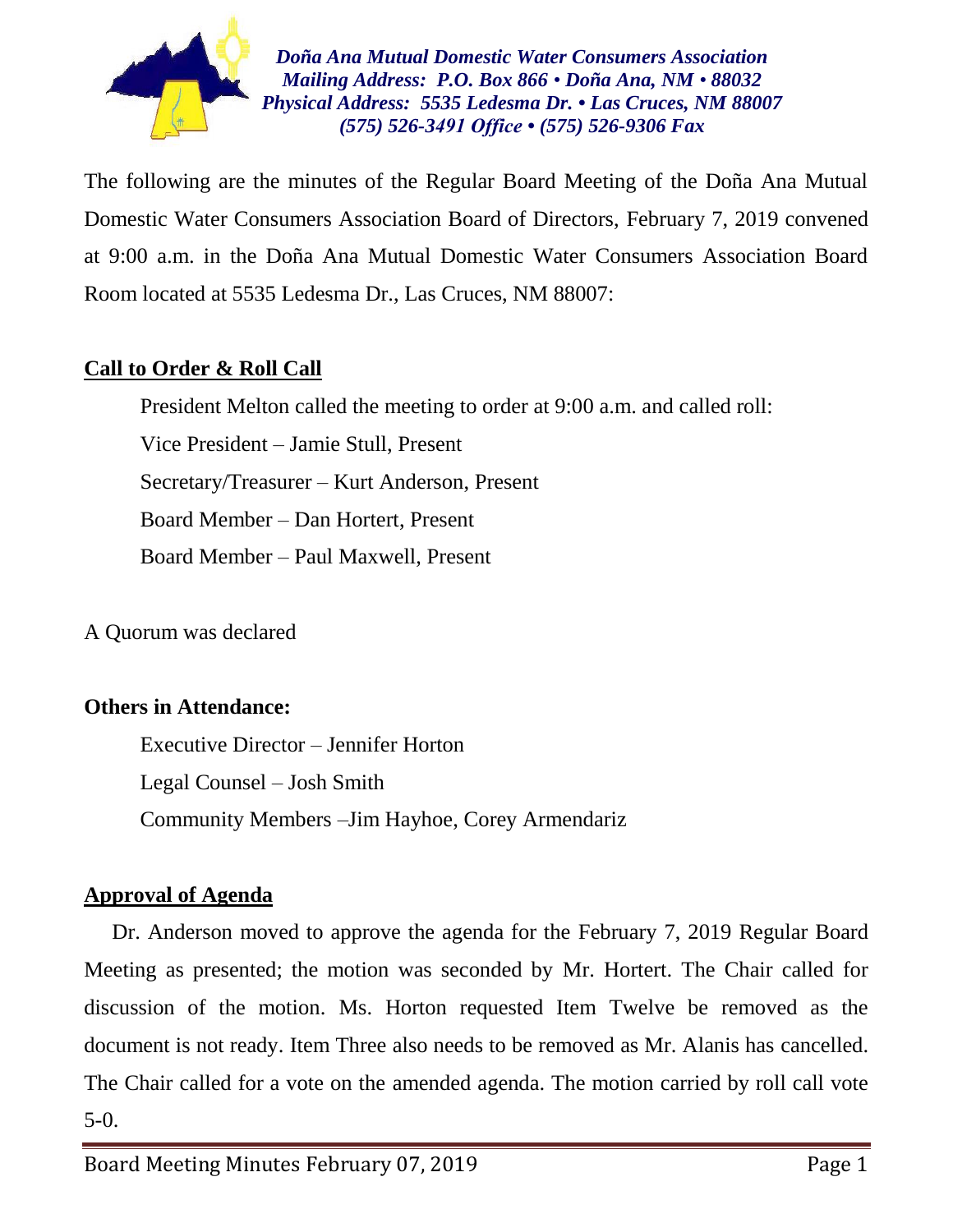

*Doña Ana Mutual Domestic Water Consumers Association Mailing Address: P.O. Box 866 • Doña Ana, NM • 88032 Physical Address: 5535 Ledesma Dr. • Las Cruces, NM 88007 (575) 526-3491 Office • (575) 526-9306 Fax*

The following are the minutes of the Regular Board Meeting of the Doña Ana Mutual Domestic Water Consumers Association Board of Directors, February 7, 2019 convened at 9:00 a.m. in the Doña Ana Mutual Domestic Water Consumers Association Board Room located at 5535 Ledesma Dr., Las Cruces, NM 88007:

## **Call to Order & Roll Call**

President Melton called the meeting to order at 9:00 a.m. and called roll: Vice President – Jamie Stull, Present Secretary/Treasurer – Kurt Anderson, Present Board Member – Dan Hortert, Present Board Member – Paul Maxwell, Present

A Quorum was declared

## **Others in Attendance:**

Executive Director – Jennifer Horton Legal Counsel – Josh Smith Community Members –Jim Hayhoe, Corey Armendariz

## **Approval of Agenda**

Dr. Anderson moved to approve the agenda for the February 7, 2019 Regular Board Meeting as presented; the motion was seconded by Mr. Hortert. The Chair called for discussion of the motion. Ms. Horton requested Item Twelve be removed as the document is not ready. Item Three also needs to be removed as Mr. Alanis has cancelled. The Chair called for a vote on the amended agenda. The motion carried by roll call vote 5-0.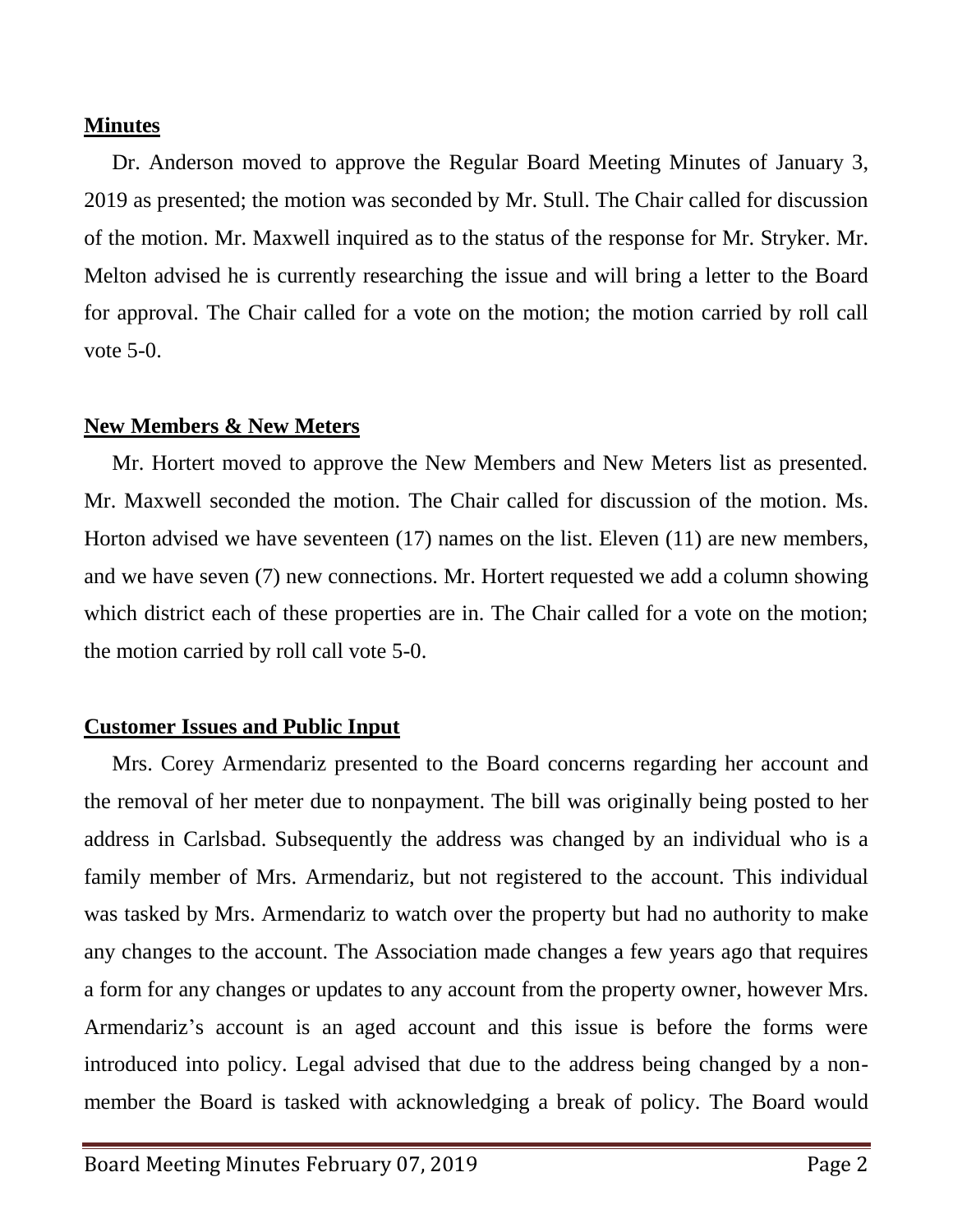## **Minutes**

Dr. Anderson moved to approve the Regular Board Meeting Minutes of January 3, 2019 as presented; the motion was seconded by Mr. Stull. The Chair called for discussion of the motion. Mr. Maxwell inquired as to the status of the response for Mr. Stryker. Mr. Melton advised he is currently researching the issue and will bring a letter to the Board for approval. The Chair called for a vote on the motion; the motion carried by roll call vote 5-0.

## **New Members & New Meters**

Mr. Hortert moved to approve the New Members and New Meters list as presented. Mr. Maxwell seconded the motion. The Chair called for discussion of the motion. Ms. Horton advised we have seventeen (17) names on the list. Eleven (11) are new members, and we have seven (7) new connections. Mr. Hortert requested we add a column showing which district each of these properties are in. The Chair called for a vote on the motion; the motion carried by roll call vote 5-0.

## **Customer Issues and Public Input**

Mrs. Corey Armendariz presented to the Board concerns regarding her account and the removal of her meter due to nonpayment. The bill was originally being posted to her address in Carlsbad. Subsequently the address was changed by an individual who is a family member of Mrs. Armendariz, but not registered to the account. This individual was tasked by Mrs. Armendariz to watch over the property but had no authority to make any changes to the account. The Association made changes a few years ago that requires a form for any changes or updates to any account from the property owner, however Mrs. Armendariz's account is an aged account and this issue is before the forms were introduced into policy. Legal advised that due to the address being changed by a nonmember the Board is tasked with acknowledging a break of policy. The Board would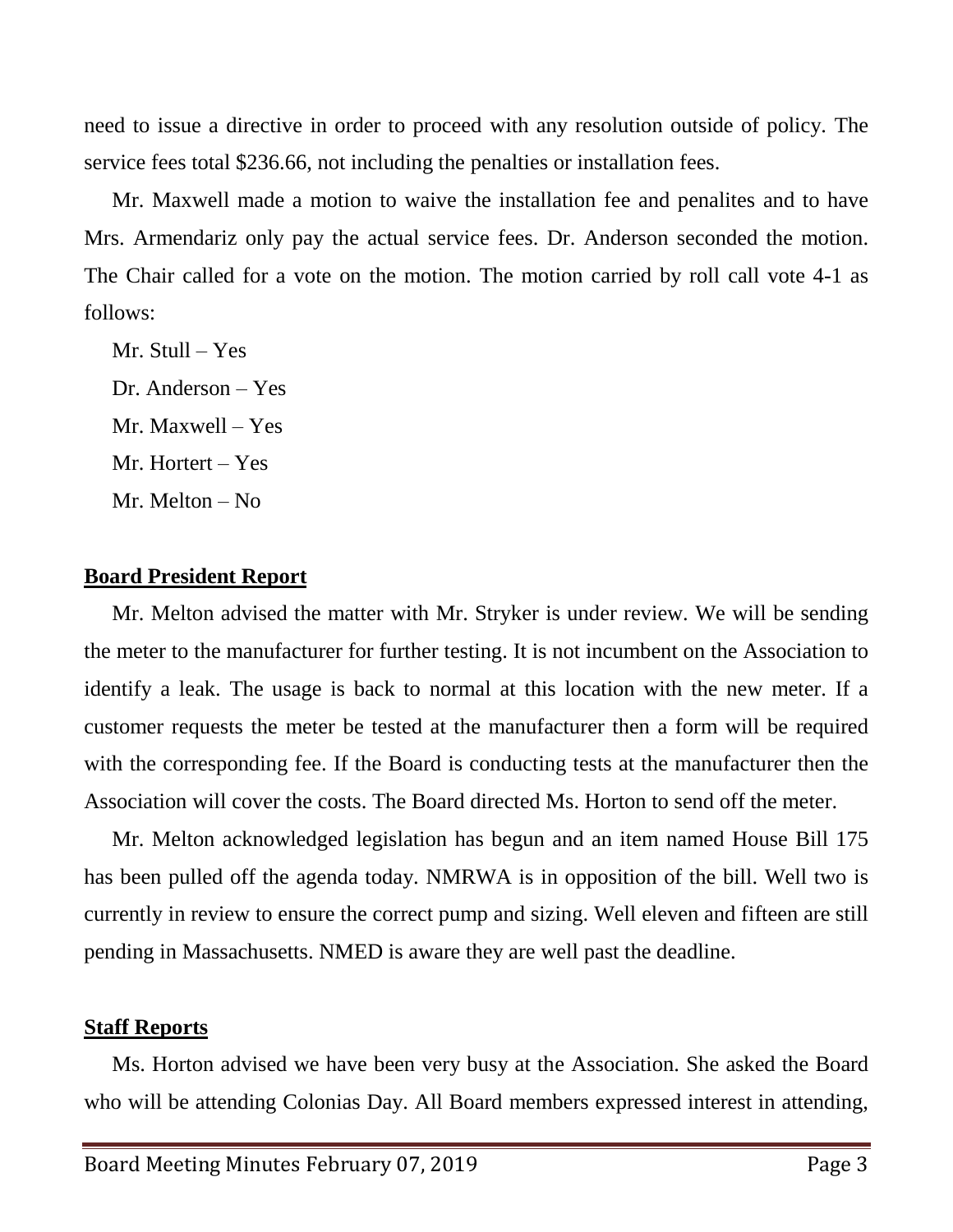need to issue a directive in order to proceed with any resolution outside of policy. The service fees total \$236.66, not including the penalties or installation fees.

Mr. Maxwell made a motion to waive the installation fee and penalites and to have Mrs. Armendariz only pay the actual service fees. Dr. Anderson seconded the motion. The Chair called for a vote on the motion. The motion carried by roll call vote 4-1 as follows:

Mr. Stull – Yes Dr. Anderson – Yes Mr. Maxwell – Yes Mr. Hortert – Yes Mr. Melton – No

### **Board President Report**

Mr. Melton advised the matter with Mr. Stryker is under review. We will be sending the meter to the manufacturer for further testing. It is not incumbent on the Association to identify a leak. The usage is back to normal at this location with the new meter. If a customer requests the meter be tested at the manufacturer then a form will be required with the corresponding fee. If the Board is conducting tests at the manufacturer then the Association will cover the costs. The Board directed Ms. Horton to send off the meter.

Mr. Melton acknowledged legislation has begun and an item named House Bill 175 has been pulled off the agenda today. NMRWA is in opposition of the bill. Well two is currently in review to ensure the correct pump and sizing. Well eleven and fifteen are still pending in Massachusetts. NMED is aware they are well past the deadline.

## **Staff Reports**

Ms. Horton advised we have been very busy at the Association. She asked the Board who will be attending Colonias Day. All Board members expressed interest in attending,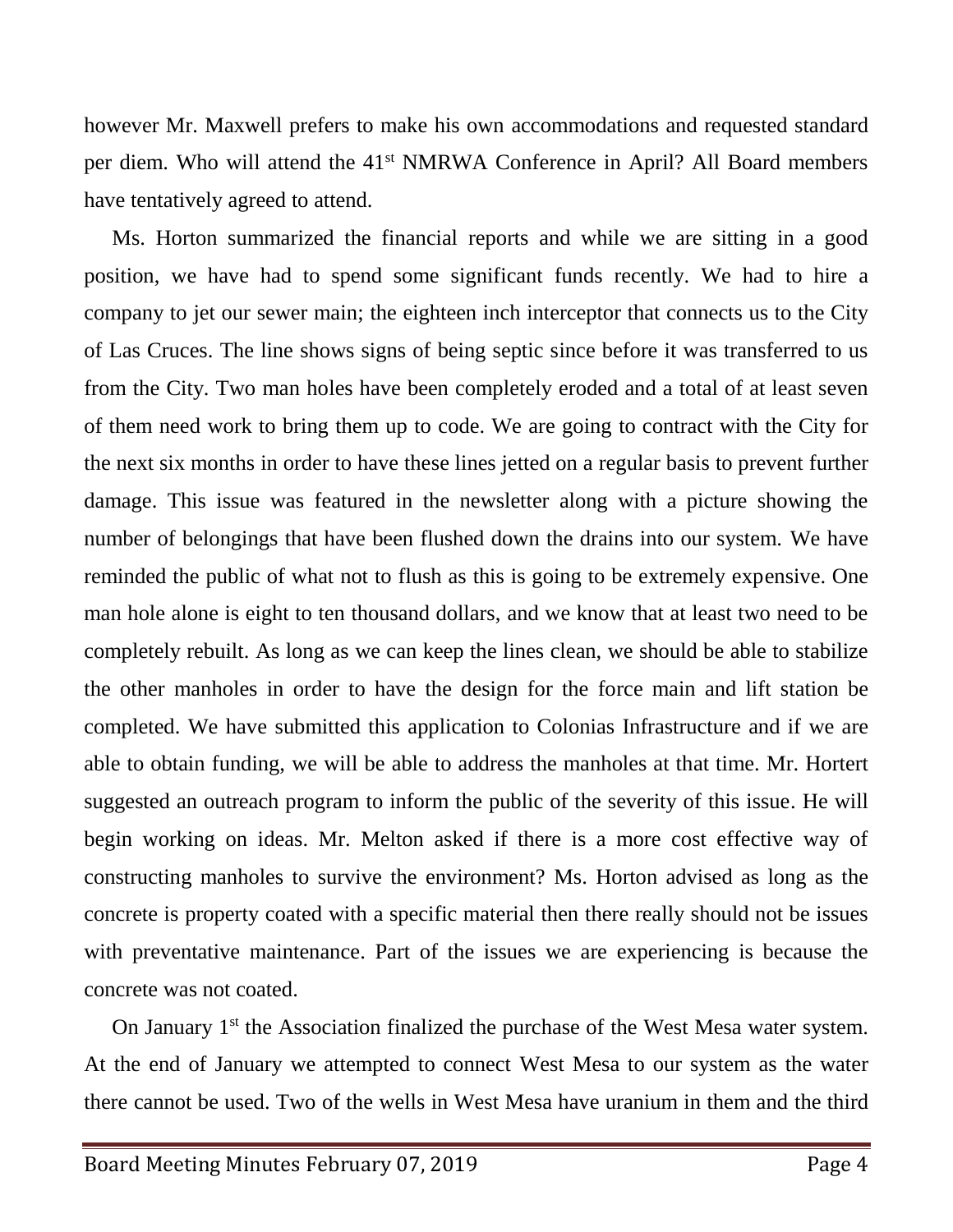however Mr. Maxwell prefers to make his own accommodations and requested standard per diem. Who will attend the 41<sup>st</sup> NMRWA Conference in April? All Board members have tentatively agreed to attend.

Ms. Horton summarized the financial reports and while we are sitting in a good position, we have had to spend some significant funds recently. We had to hire a company to jet our sewer main; the eighteen inch interceptor that connects us to the City of Las Cruces. The line shows signs of being septic since before it was transferred to us from the City. Two man holes have been completely eroded and a total of at least seven of them need work to bring them up to code. We are going to contract with the City for the next six months in order to have these lines jetted on a regular basis to prevent further damage. This issue was featured in the newsletter along with a picture showing the number of belongings that have been flushed down the drains into our system. We have reminded the public of what not to flush as this is going to be extremely expensive. One man hole alone is eight to ten thousand dollars, and we know that at least two need to be completely rebuilt. As long as we can keep the lines clean, we should be able to stabilize the other manholes in order to have the design for the force main and lift station be completed. We have submitted this application to Colonias Infrastructure and if we are able to obtain funding, we will be able to address the manholes at that time. Mr. Hortert suggested an outreach program to inform the public of the severity of this issue. He will begin working on ideas. Mr. Melton asked if there is a more cost effective way of constructing manholes to survive the environment? Ms. Horton advised as long as the concrete is property coated with a specific material then there really should not be issues with preventative maintenance. Part of the issues we are experiencing is because the concrete was not coated.

On January 1<sup>st</sup> the Association finalized the purchase of the West Mesa water system. At the end of January we attempted to connect West Mesa to our system as the water there cannot be used. Two of the wells in West Mesa have uranium in them and the third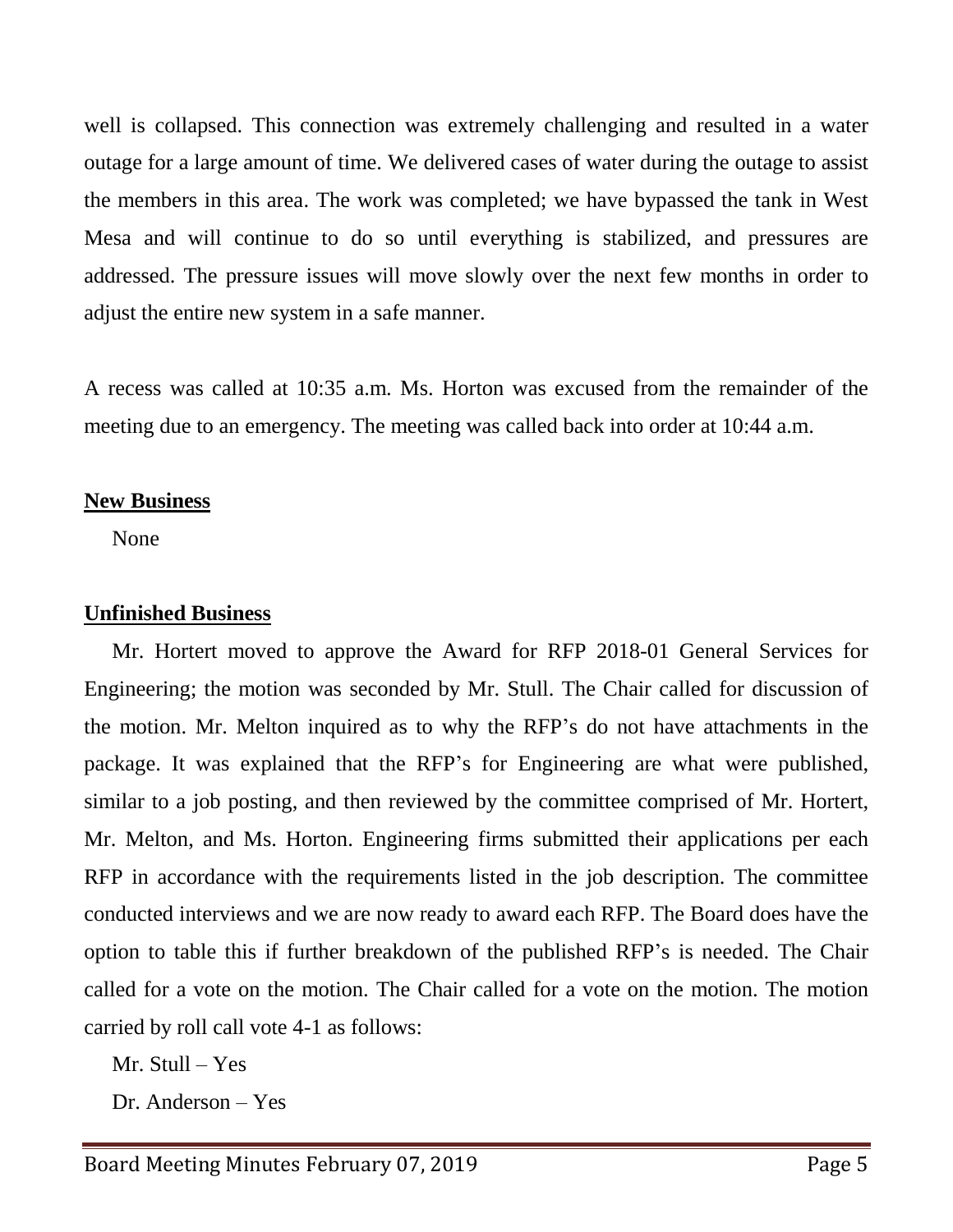well is collapsed. This connection was extremely challenging and resulted in a water outage for a large amount of time. We delivered cases of water during the outage to assist the members in this area. The work was completed; we have bypassed the tank in West Mesa and will continue to do so until everything is stabilized, and pressures are addressed. The pressure issues will move slowly over the next few months in order to adjust the entire new system in a safe manner.

A recess was called at 10:35 a.m. Ms. Horton was excused from the remainder of the meeting due to an emergency. The meeting was called back into order at 10:44 a.m.

## **New Business**

None

## **Unfinished Business**

Mr. Hortert moved to approve the Award for RFP 2018-01 General Services for Engineering; the motion was seconded by Mr. Stull. The Chair called for discussion of the motion. Mr. Melton inquired as to why the RFP's do not have attachments in the package. It was explained that the RFP's for Engineering are what were published, similar to a job posting, and then reviewed by the committee comprised of Mr. Hortert, Mr. Melton, and Ms. Horton. Engineering firms submitted their applications per each RFP in accordance with the requirements listed in the job description. The committee conducted interviews and we are now ready to award each RFP. The Board does have the option to table this if further breakdown of the published RFP's is needed. The Chair called for a vote on the motion. The Chair called for a vote on the motion. The motion carried by roll call vote 4-1 as follows:

Mr. Stull – Yes

Dr. Anderson – Yes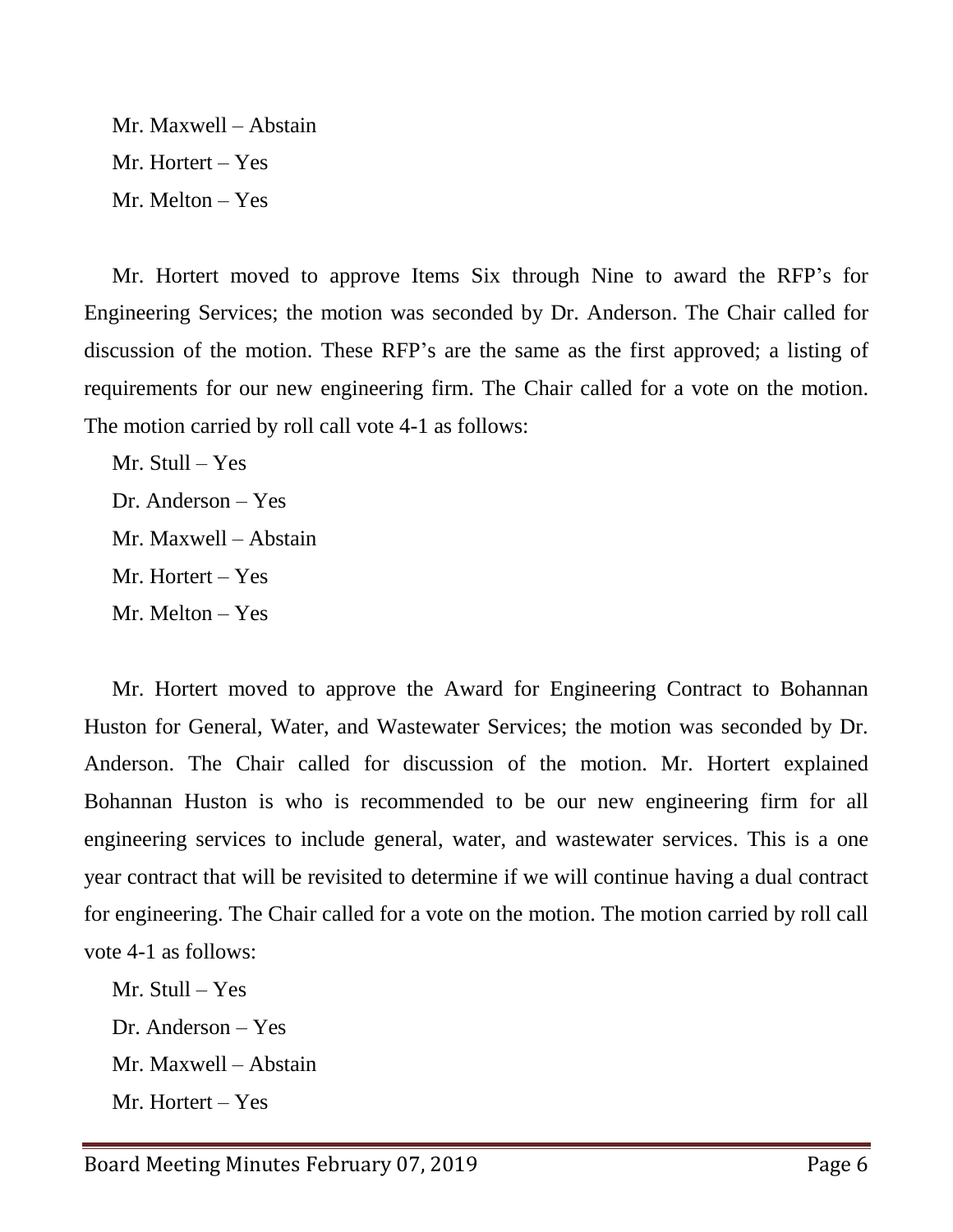Mr. Maxwell – Abstain Mr. Hortert – Yes Mr. Melton – Yes

Mr. Hortert moved to approve Items Six through Nine to award the RFP's for Engineering Services; the motion was seconded by Dr. Anderson. The Chair called for discussion of the motion. These RFP's are the same as the first approved; a listing of requirements for our new engineering firm. The Chair called for a vote on the motion. The motion carried by roll call vote 4-1 as follows:

Mr. Stull – Yes Dr. Anderson – Yes Mr. Maxwell – Abstain Mr. Hortert – Yes Mr. Melton – Yes

Mr. Hortert moved to approve the Award for Engineering Contract to Bohannan Huston for General, Water, and Wastewater Services; the motion was seconded by Dr. Anderson. The Chair called for discussion of the motion. Mr. Hortert explained Bohannan Huston is who is recommended to be our new engineering firm for all engineering services to include general, water, and wastewater services. This is a one year contract that will be revisited to determine if we will continue having a dual contract for engineering. The Chair called for a vote on the motion. The motion carried by roll call vote 4-1 as follows:

Mr. Stull – Yes Dr. Anderson – Yes Mr. Maxwell – Abstain Mr. Hortert – Yes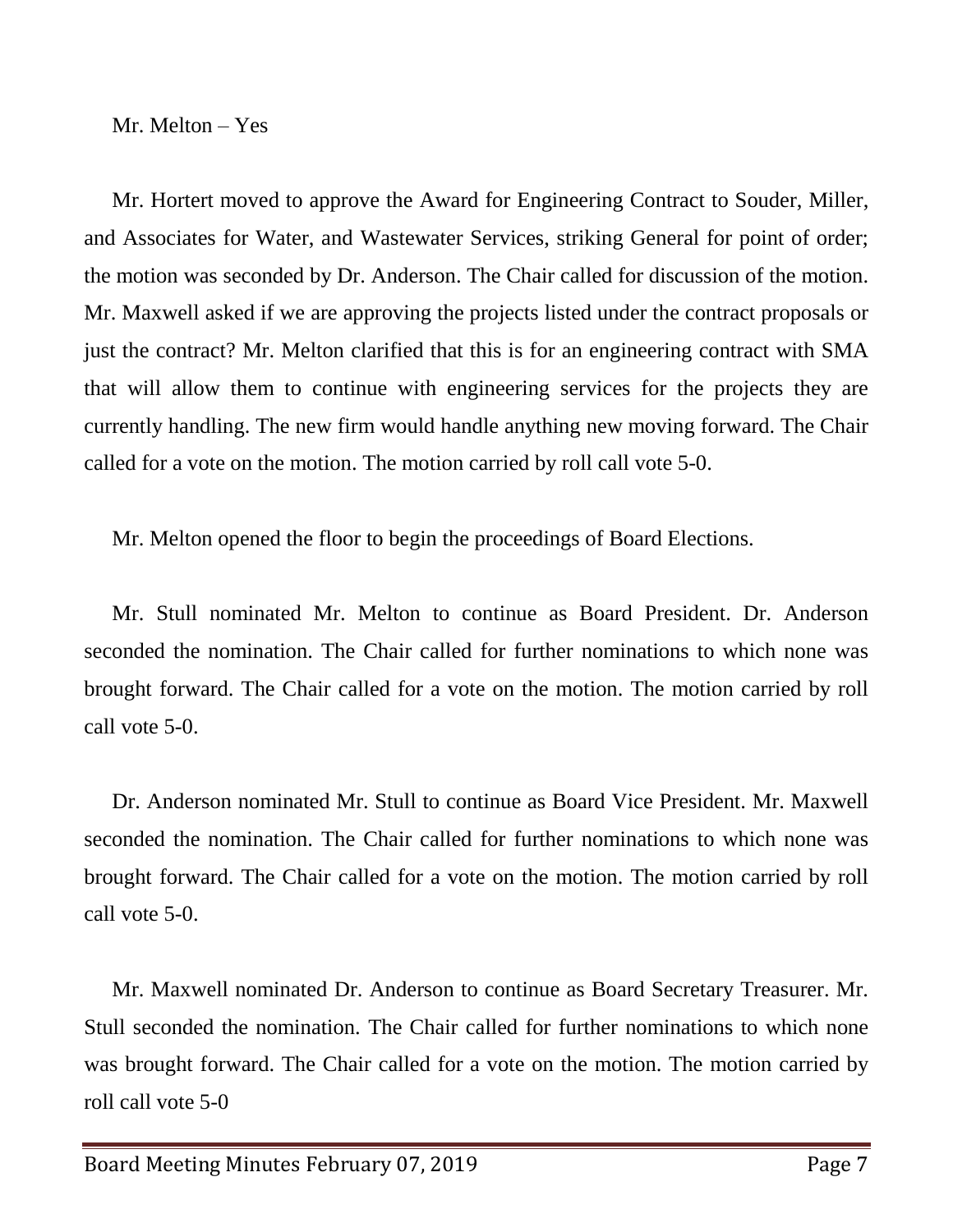Mr. Melton – Yes

Mr. Hortert moved to approve the Award for Engineering Contract to Souder, Miller, and Associates for Water, and Wastewater Services, striking General for point of order; the motion was seconded by Dr. Anderson. The Chair called for discussion of the motion. Mr. Maxwell asked if we are approving the projects listed under the contract proposals or just the contract? Mr. Melton clarified that this is for an engineering contract with SMA that will allow them to continue with engineering services for the projects they are currently handling. The new firm would handle anything new moving forward. The Chair called for a vote on the motion. The motion carried by roll call vote 5-0.

Mr. Melton opened the floor to begin the proceedings of Board Elections.

Mr. Stull nominated Mr. Melton to continue as Board President. Dr. Anderson seconded the nomination. The Chair called for further nominations to which none was brought forward. The Chair called for a vote on the motion. The motion carried by roll call vote 5-0.

Dr. Anderson nominated Mr. Stull to continue as Board Vice President. Mr. Maxwell seconded the nomination. The Chair called for further nominations to which none was brought forward. The Chair called for a vote on the motion. The motion carried by roll call vote 5-0.

Mr. Maxwell nominated Dr. Anderson to continue as Board Secretary Treasurer. Mr. Stull seconded the nomination. The Chair called for further nominations to which none was brought forward. The Chair called for a vote on the motion. The motion carried by roll call vote 5-0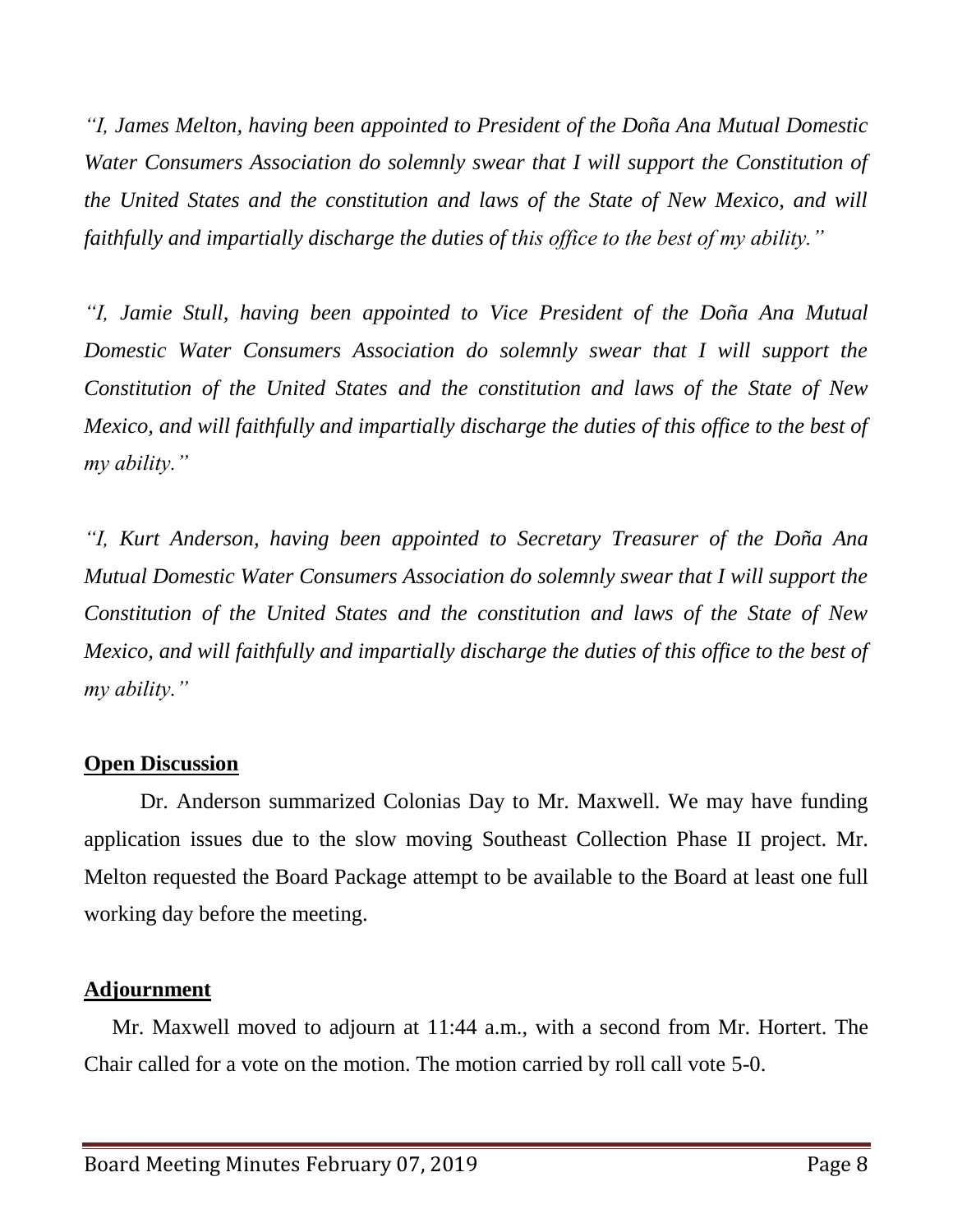*"I, James Melton, having been appointed to President of the Doña Ana Mutual Domestic Water Consumers Association do solemnly swear that I will support the Constitution of the United States and the constitution and laws of the State of New Mexico, and will faithfully and impartially discharge the duties of this office to the best of my ability."*

*"I, Jamie Stull, having been appointed to Vice President of the Doña Ana Mutual Domestic Water Consumers Association do solemnly swear that I will support the Constitution of the United States and the constitution and laws of the State of New Mexico, and will faithfully and impartially discharge the duties of this office to the best of my ability."*

*"I, Kurt Anderson, having been appointed to Secretary Treasurer of the Doña Ana Mutual Domestic Water Consumers Association do solemnly swear that I will support the Constitution of the United States and the constitution and laws of the State of New Mexico, and will faithfully and impartially discharge the duties of this office to the best of my ability."*

## **Open Discussion**

Dr. Anderson summarized Colonias Day to Mr. Maxwell. We may have funding application issues due to the slow moving Southeast Collection Phase II project. Mr. Melton requested the Board Package attempt to be available to the Board at least one full working day before the meeting.

## **Adjournment**

Mr. Maxwell moved to adjourn at 11:44 a.m., with a second from Mr. Hortert. The Chair called for a vote on the motion. The motion carried by roll call vote 5-0.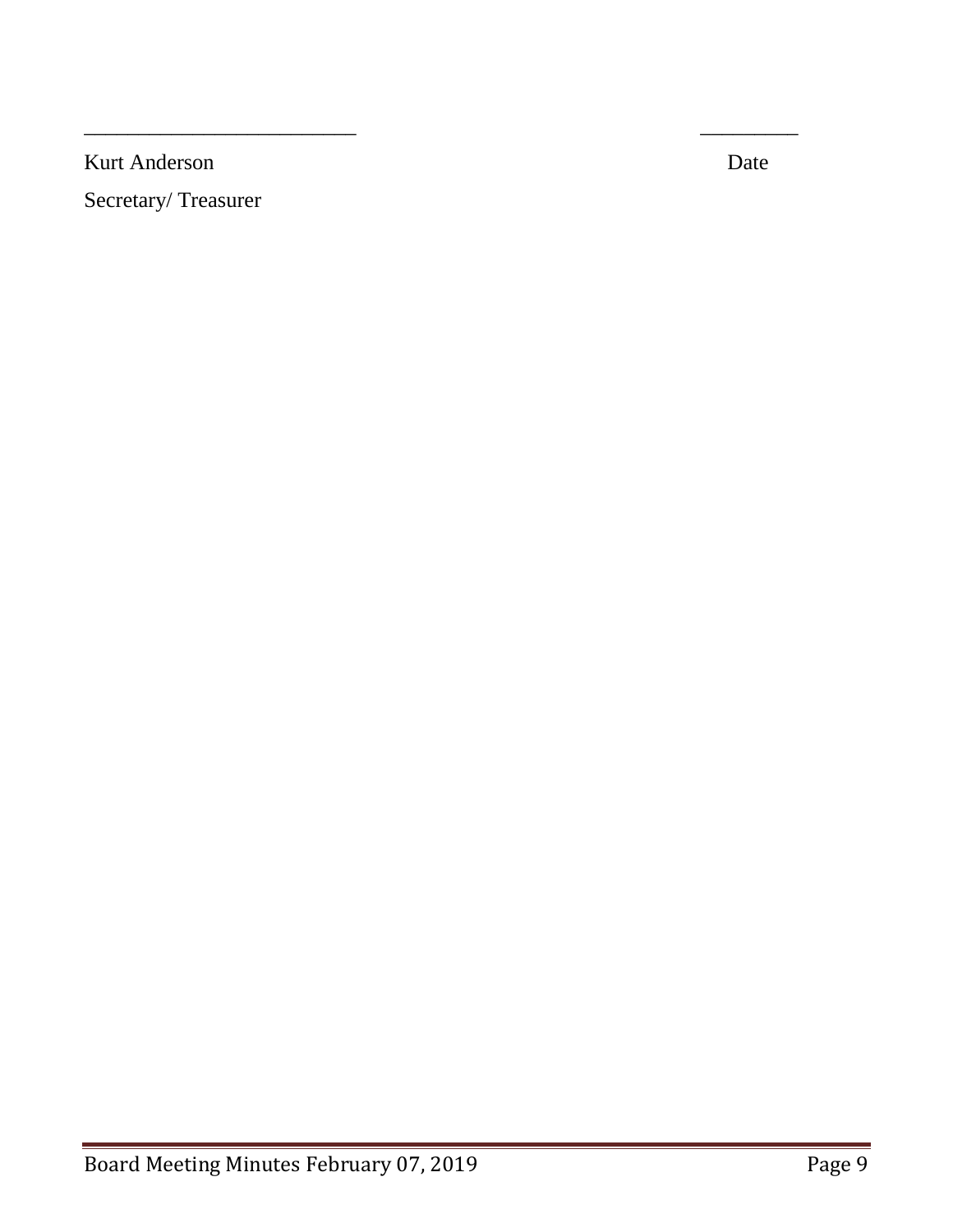Kurt Anderson Date

Secretary/ Treasurer

 $\overline{\phantom{a}}$  , and the contract of the contract of the contract of the contract of the contract of the contract of the contract of the contract of the contract of the contract of the contract of the contract of the contrac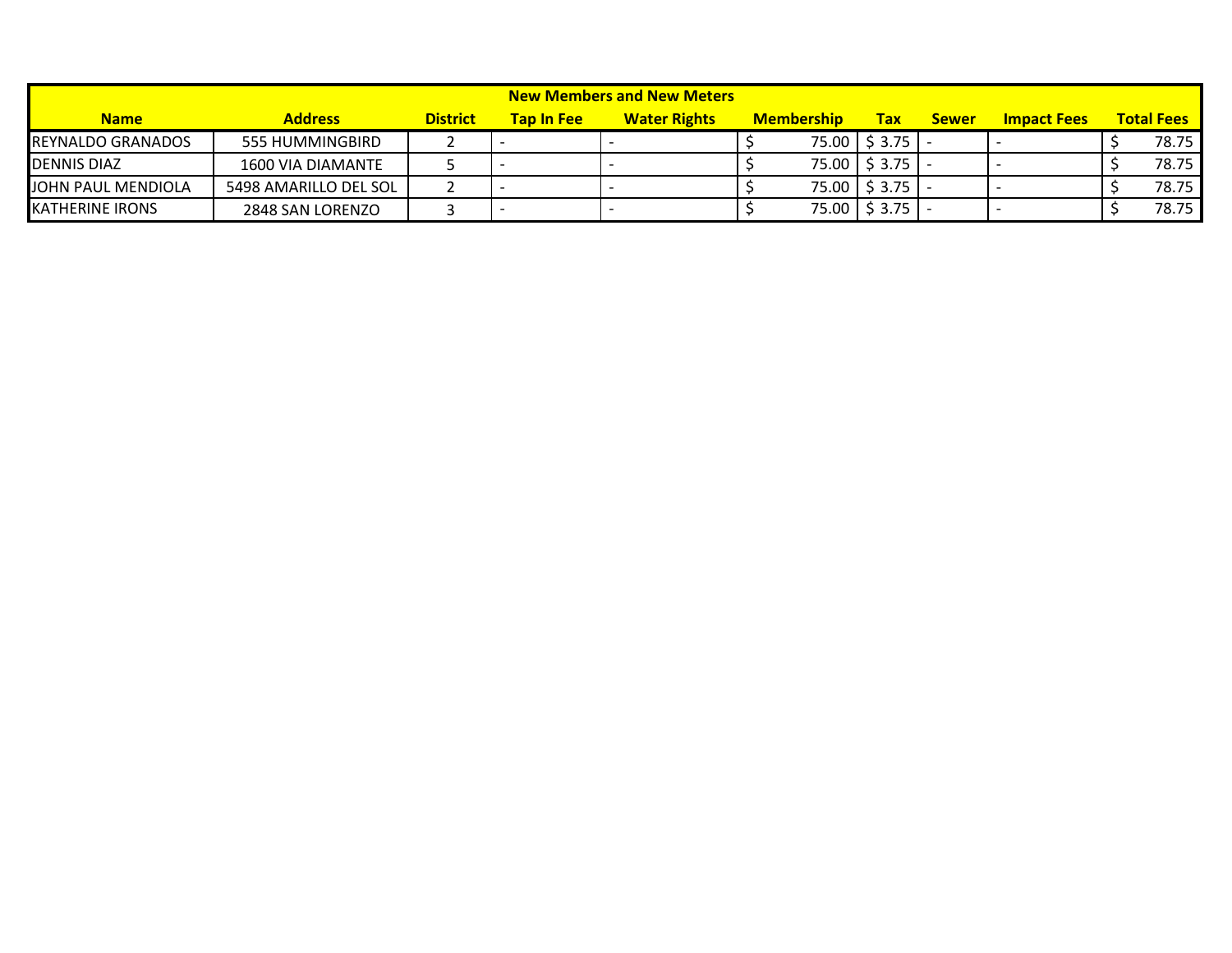| New Members and New Meters |                       |                 |                   |                     |  |                   |                 |              |                    |  |                   |
|----------------------------|-----------------------|-----------------|-------------------|---------------------|--|-------------------|-----------------|--------------|--------------------|--|-------------------|
| <b>Name</b>                | <b>Address</b>        | <b>District</b> | <b>Tap In Fee</b> | <b>Water Rights</b> |  | <b>Membership</b> | <b>Tax</b>      | <b>Sewer</b> | <b>Impact Fees</b> |  | <b>Total Fees</b> |
| <b>REYNALDO GRANADOS</b>   | 555 HUMMINGBIRD       |                 |                   |                     |  |                   | 75.00 \$3.75    |              |                    |  | 78.75             |
| <b>DENNIS DIAZ</b>         | 1600 VIA DIAMANTE     |                 |                   |                     |  |                   | 75.00   \$3.75  |              |                    |  | 78.75             |
| JOHN PAUL MENDIOLA         | 5498 AMARILLO DEL SOL |                 |                   |                     |  |                   | 75.00 \$3.75    |              |                    |  | 78.75             |
| <b>KATHERINE IRONS</b>     | 2848 SAN LORENZO      |                 |                   |                     |  |                   | $75.00$ \$ 3.75 |              |                    |  | 78.75             |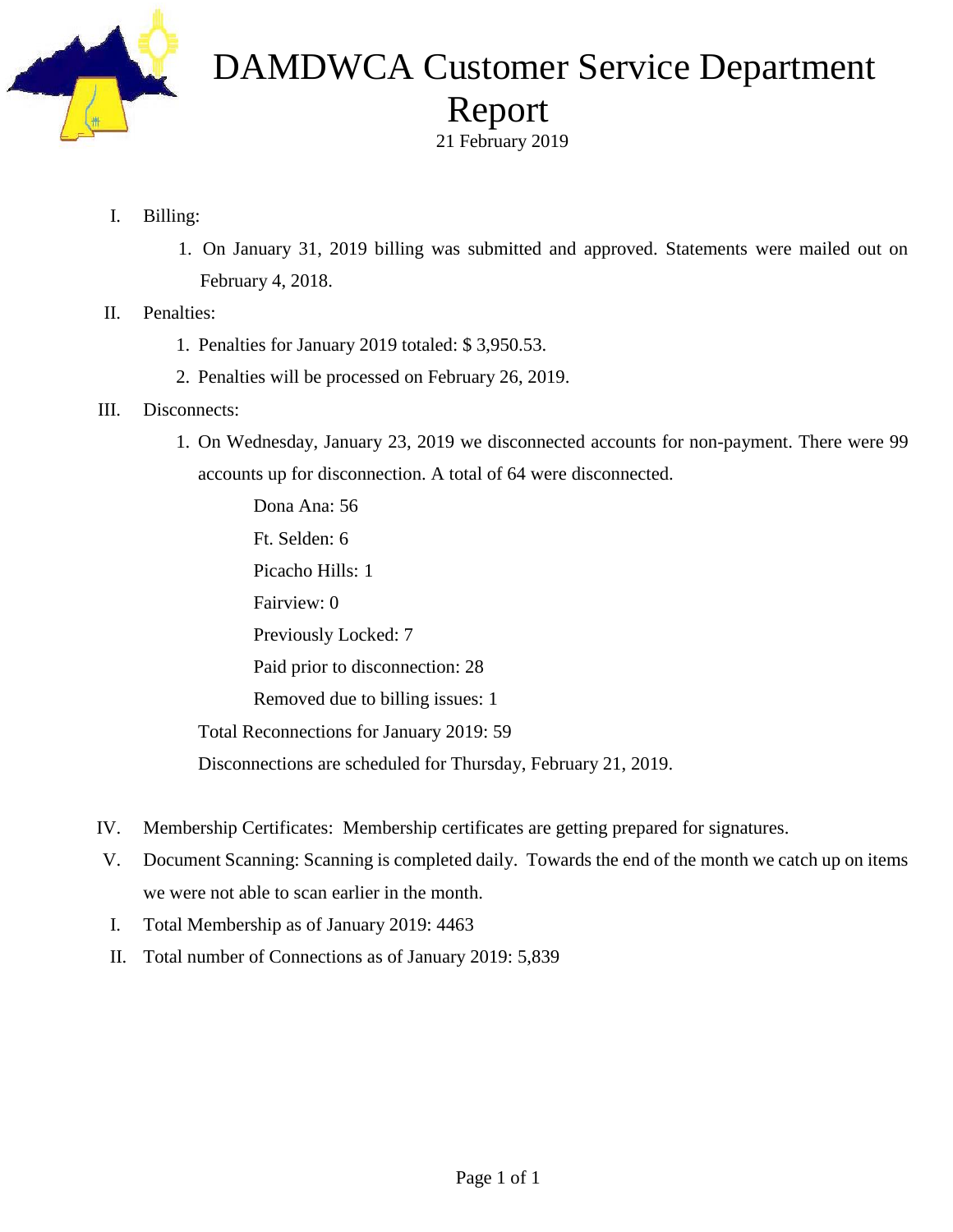

# DAMDWCA Customer Service Department Report

21 February 2019

- I. Billing:
	- 1. On January 31, 2019 billing was submitted and approved. Statements were mailed out on February 4, 2018.
- II. Penalties:
	- 1. Penalties for January 2019 totaled: \$ 3,950.53.
	- 2. Penalties will be processed on February 26, 2019.
- III. Disconnects:
	- 1. On Wednesday, January 23, 2019 we disconnected accounts for non-payment. There were 99 accounts up for disconnection. A total of 64 were disconnected.

Dona Ana: 56 Ft. Selden: 6 Picacho Hills: 1 Fairview: 0 Previously Locked: 7 Paid prior to disconnection: 28 Removed due to billing issues: 1 Total Reconnections for January 2019: 59 Disconnections are scheduled for Thursday, February 21, 2019.

- IV. Membership Certificates: Membership certificates are getting prepared for signatures.
- V. Document Scanning: Scanning is completed daily. Towards the end of the month we catch up on items we were not able to scan earlier in the month.
- I. Total Membership as of January 2019: 4463
- II. Total number of Connections as of January 2019: 5,839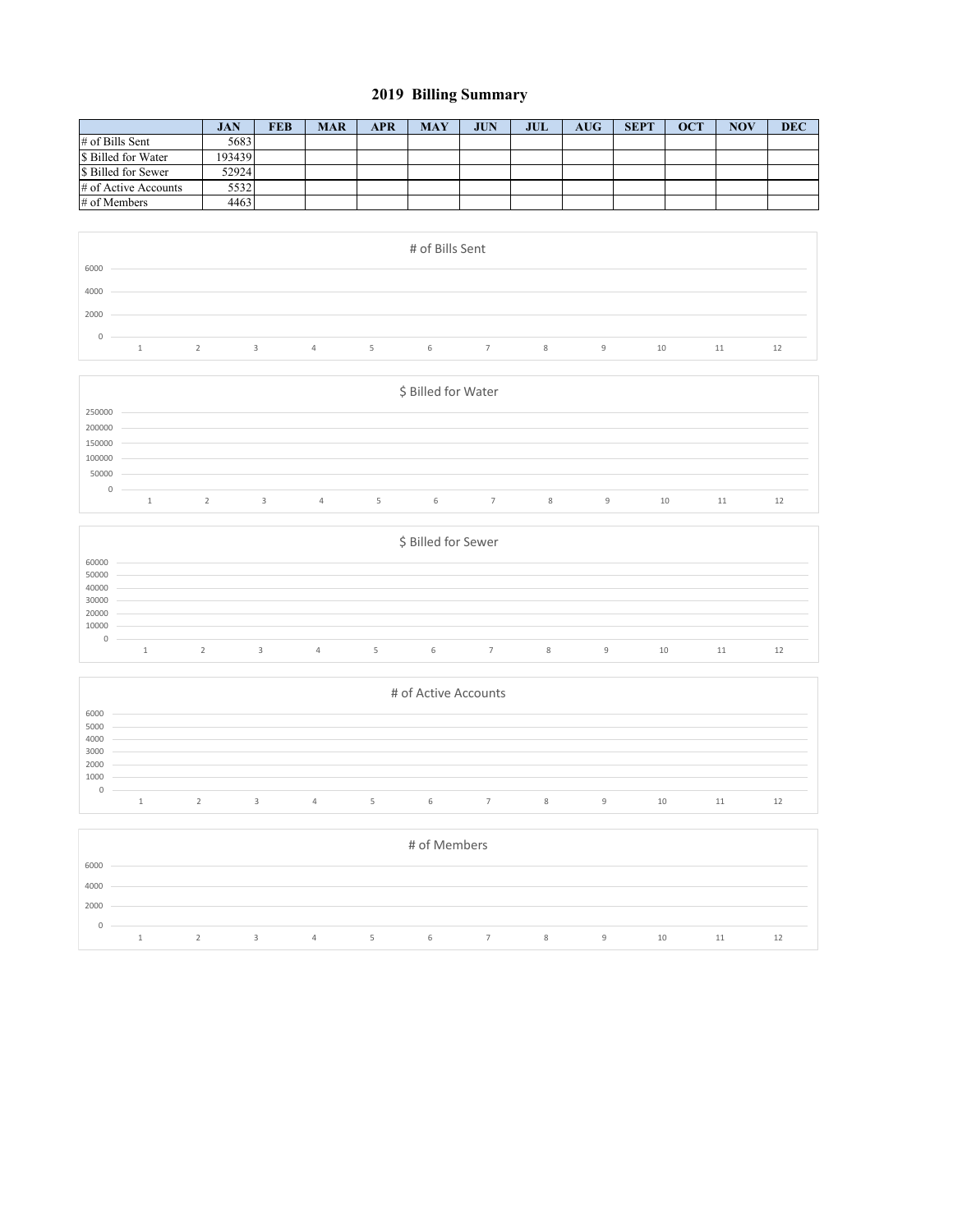### **2019 Billing Summary**

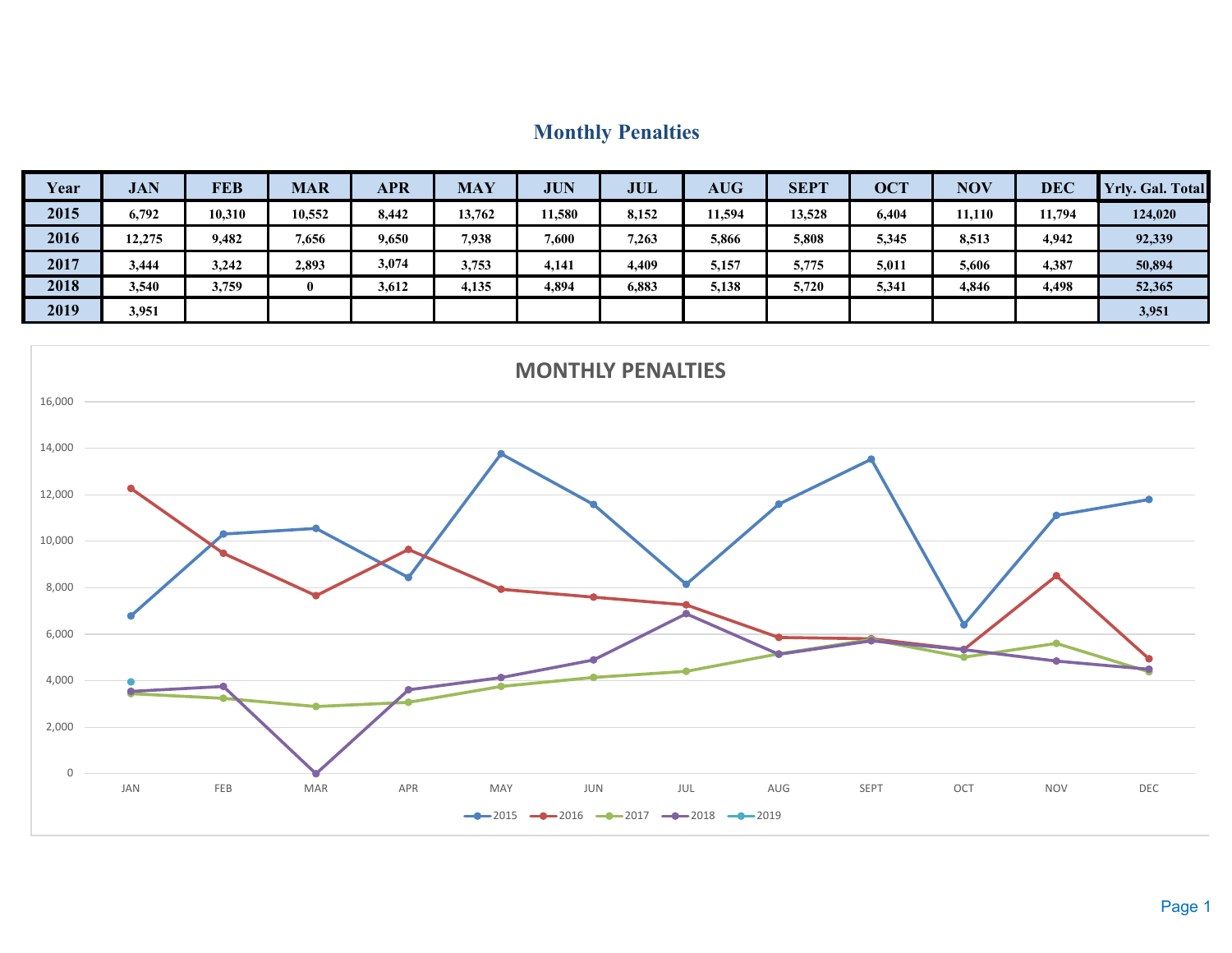## **Monthly Penalties**

| Year | <b>JAN</b> | <b>FEB</b> | <b>MAR</b> | <b>APR</b> | <b>MAY</b> | <b>JUN</b> | <b>JUL</b> | <b>AUG</b> | <b>SEPT</b> | <b>OCT</b> | <b>NOV</b> | <b>DEC</b> | <b>Yrly. Gal. Total</b> |
|------|------------|------------|------------|------------|------------|------------|------------|------------|-------------|------------|------------|------------|-------------------------|
| 2015 | 6,792      | 10,310     | 10,552     | 8,442      | 13,762     | 11,580     | 8,152      | 11,594     | 13,528      | 6,404      | 11,110     | 11,794     | 124,020                 |
| 2016 | 12,275     | 9,482      | 7,656      | 9,650      | 7,938      | 7,600      | 7,263      | 5,866      | 5,808       | 5,345      | 8,513      | 4,942      | 92,339                  |
| 2017 | 3,444      | 3,242      | 2,893      | 3,074      | 3,753      | 4,141      | 4,409      | 5,157      | 5,775       | 5,011      | 5,606      | 4,387      | 50,894                  |
| 2018 | 3,540      | 3,759      | 0          | 3,612      | 4,135      | 4,894      | 6,883      | 5,138      | 5,720       | 5,341      | 4,846      | 4,498      | 52,365                  |
| 2019 | 3,951      |            |            |            |            |            |            |            |             |            |            |            | 3,951                   |

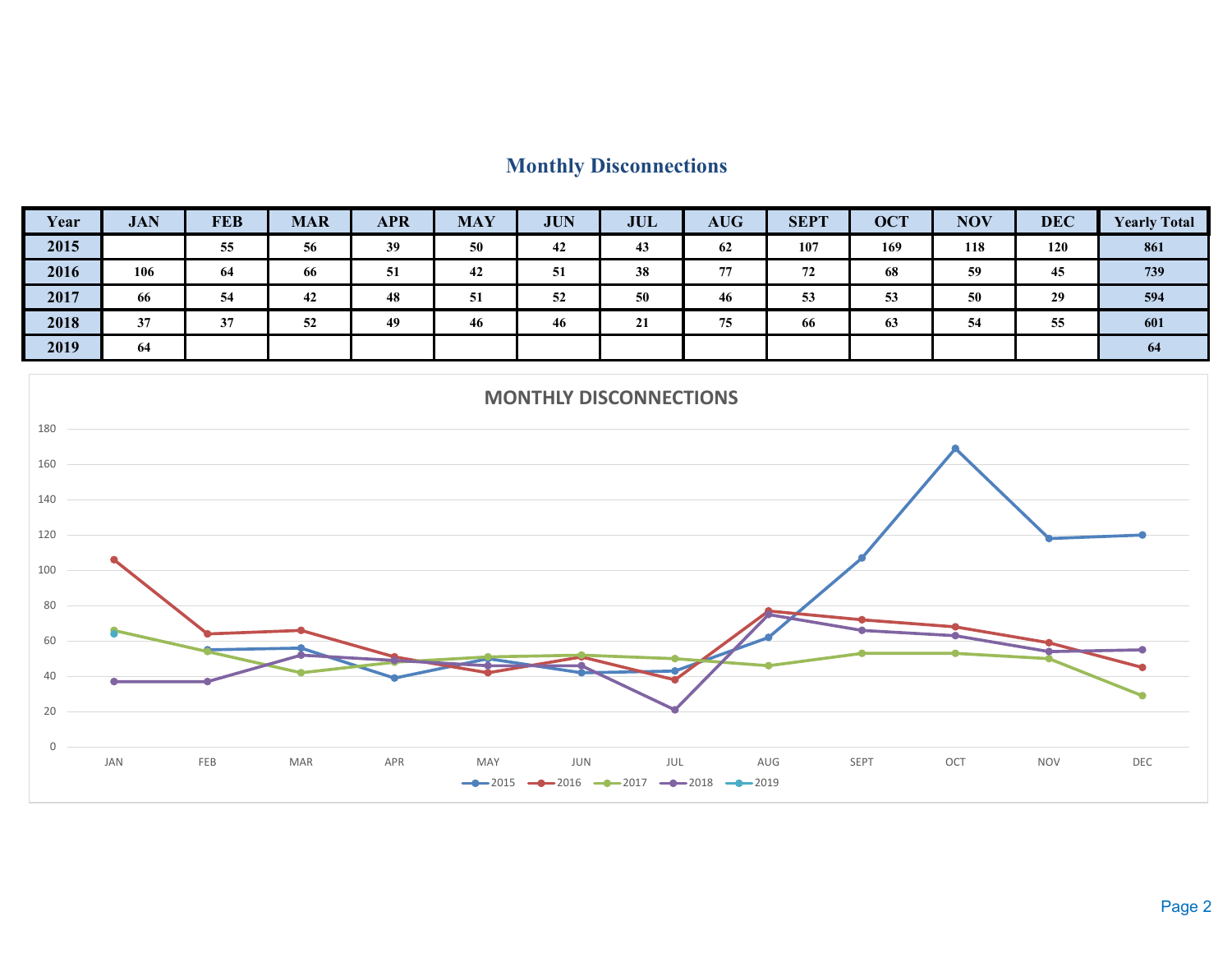## **Monthly Disconnections**

| Year | <b>JAN</b> | <b>FEB</b> | <b>MAR</b> | <b>APR</b> | <b>MAY</b> | <b>JUN</b> | <b>JUL</b>                      | <b>AUG</b> | <b>SEPT</b> | <b>OCT</b> | <b>NOV</b> | <b>DEC</b> | <b>Yearly Total</b> |
|------|------------|------------|------------|------------|------------|------------|---------------------------------|------------|-------------|------------|------------|------------|---------------------|
| 2015 |            | 55         | 56         | 39         | 50         | 42         | 43                              | 62         | 107         | 169        | 118        | 120        | 861                 |
| 2016 | 106        | 64         | 66         | 51         | 42         | 51         | 38                              | 77         | 72          | 68         | 59         | 45         | 739                 |
| 2017 | 66         | 54         | 42         | 48         | 51         | 52         | 50                              | 46         | 53          | 53         | 50         | 29         | 594                 |
| 2018 | 37         | 37         | 52         | 49         | 46         | 46         | $^{\bullet}$ <sup>1</sup><br>41 | 75         | 66          | 63         | 54         | 55         | 601                 |
| 2019 | 64         |            |            |            |            |            |                                 |            |             |            |            |            | 64                  |

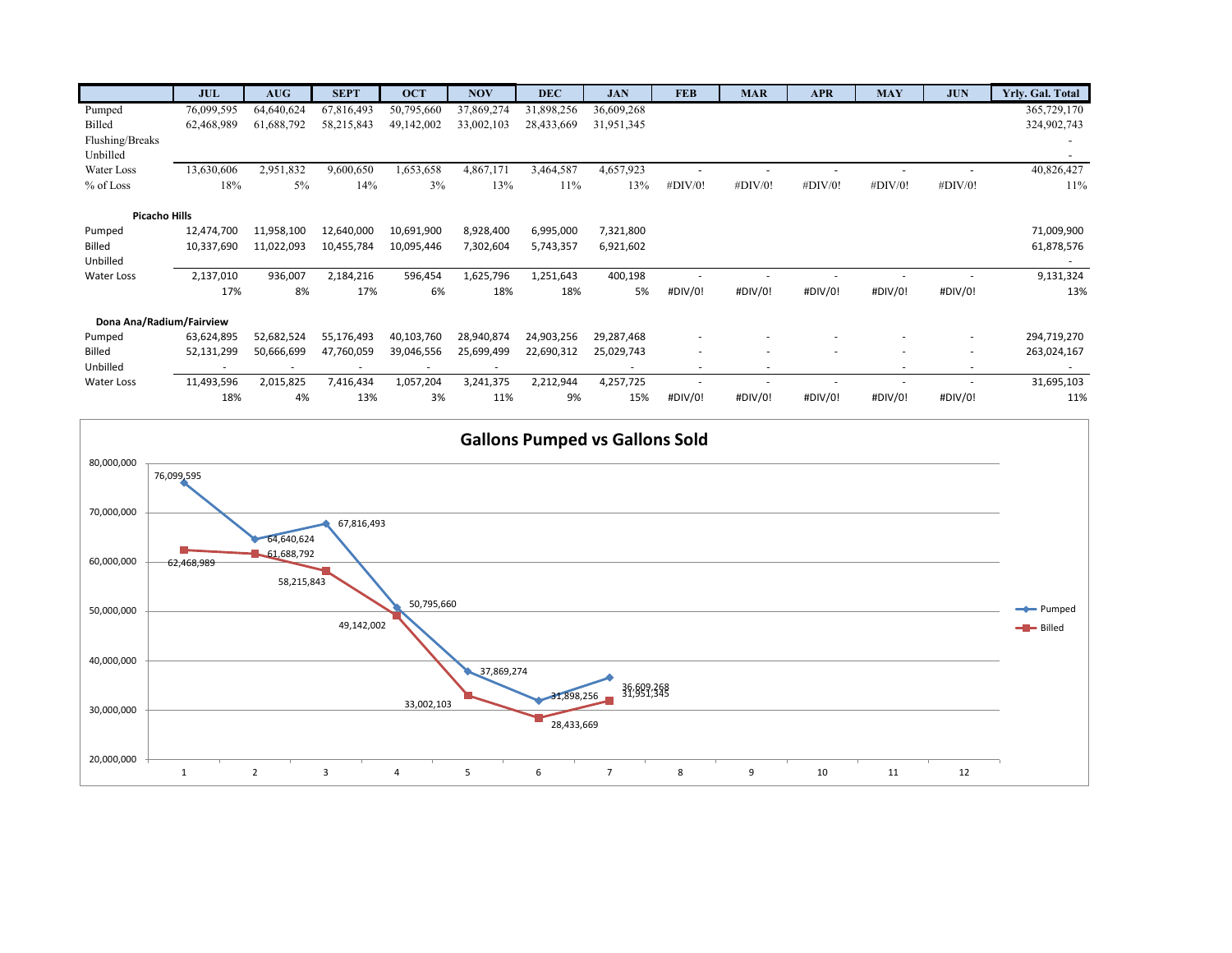|                          | <b>JUL</b> | <b>AUG</b> | <b>SEPT</b> | <b>OCT</b> | <b>NOV</b> | <b>DEC</b> | <b>JAN</b> | <b>FEB</b> | <b>MAR</b> | <b>APR</b> | <b>MAY</b> | <b>JUN</b> | Yrly. Gal. Total         |
|--------------------------|------------|------------|-------------|------------|------------|------------|------------|------------|------------|------------|------------|------------|--------------------------|
| Pumped                   | 76,099,595 | 64,640,624 | 67,816,493  | 50,795,660 | 37,869,274 | 31,898,256 | 36,609,268 |            |            |            |            |            | 365,729,170              |
| Billed                   | 62,468,989 | 61,688,792 | 58,215,843  | 49,142,002 | 33,002,103 | 28,433,669 | 31,951,345 |            |            |            |            |            | 324,902,743              |
| Flushing/Breaks          |            |            |             |            |            |            |            |            |            |            |            |            |                          |
| Unbilled                 |            |            |             |            |            |            |            |            |            |            |            |            | $\overline{\phantom{0}}$ |
| Water Loss               | 13,630,606 | 2,951,832  | 9,600,650   | 1,653,658  | 4,867,171  | 3,464,587  | 4,657,923  |            |            |            |            |            | 40,826,427               |
| % of Loss                | 18%        | $5\%$      | 14%         | 3%         | 13%        | 11%        | 13%        | #DIV/0!    | #DIV/0!    | #DIV/0!    | #DIV/0!    | #DIV/0!    | 11%                      |
|                          |            |            |             |            |            |            |            |            |            |            |            |            |                          |
| <b>Picacho Hills</b>     |            |            |             |            |            |            |            |            |            |            |            |            |                          |
| Pumped                   | 12,474,700 | 11,958,100 | 12,640,000  | 10,691,900 | 8,928,400  | 6,995,000  | 7,321,800  |            |            |            |            |            | 71,009,900               |
| <b>Billed</b>            | 10,337,690 | 11,022,093 | 10,455,784  | 10,095,446 | 7,302,604  | 5,743,357  | 6,921,602  |            |            |            |            |            | 61,878,576               |
| Unbilled                 |            |            |             |            |            |            |            |            |            |            |            |            |                          |
| <b>Water Loss</b>        | 2,137,010  | 936,007    | 2,184,216   | 596,454    | 1,625,796  | 1,251,643  | 400,198    |            |            |            |            |            | 9,131,324                |
|                          | 17%        | 8%         | 17%         | 6%         | 18%        | 18%        | 5%         | #DIV/0!    | #DIV/0!    | #DIV/0!    | #DIV/0!    | #DIV/0!    | 13%                      |
| Dona Ana/Radium/Fairview |            |            |             |            |            |            |            |            |            |            |            |            |                          |
| Pumped                   | 63,624,895 | 52,682,524 | 55,176,493  | 40,103,760 | 28,940,874 | 24,903,256 | 29,287,468 |            |            |            |            | ۰          | 294,719,270              |
| <b>Billed</b>            | 52,131,299 | 50,666,699 | 47,760,059  | 39,046,556 | 25,699,499 | 22,690,312 | 25,029,743 | ٠          |            | ٠          |            | $\sim$     | 263,024,167              |
| Unbilled                 | $\sim$     |            |             |            | $\sim$     |            | $\sim$     | ۰          | ٠          |            | ×.         | $\sim$     | $\overline{\phantom{a}}$ |
| Water Loss               | 11,493,596 | 2,015,825  | 7,416,434   | 1,057,204  | 3,241,375  | 2,212,944  | 4,257,725  |            |            |            |            |            | 31,695,103               |
|                          | 18%        | 4%         | 13%         | 3%         | 11%        | 9%         | 15%        | #DIV/0!    | #DIV/0!    | #DIV/0!    | #DIV/0!    | #DIV/0!    | 11%                      |

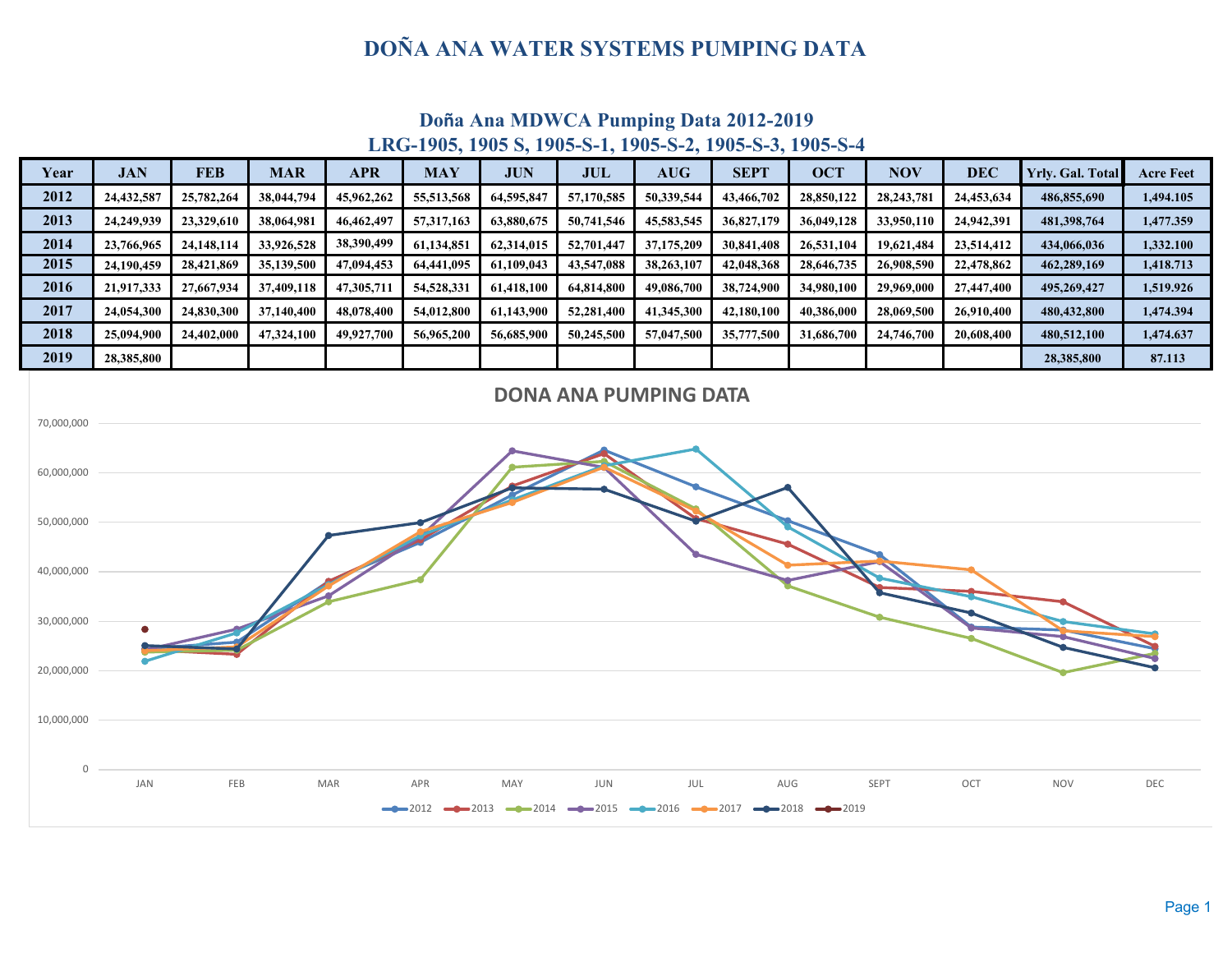## **DOÑA ANA WATER SYSTEMS PUMPING DATA**



# **Doña Ana MDWCA Pumping Data 2012-2019**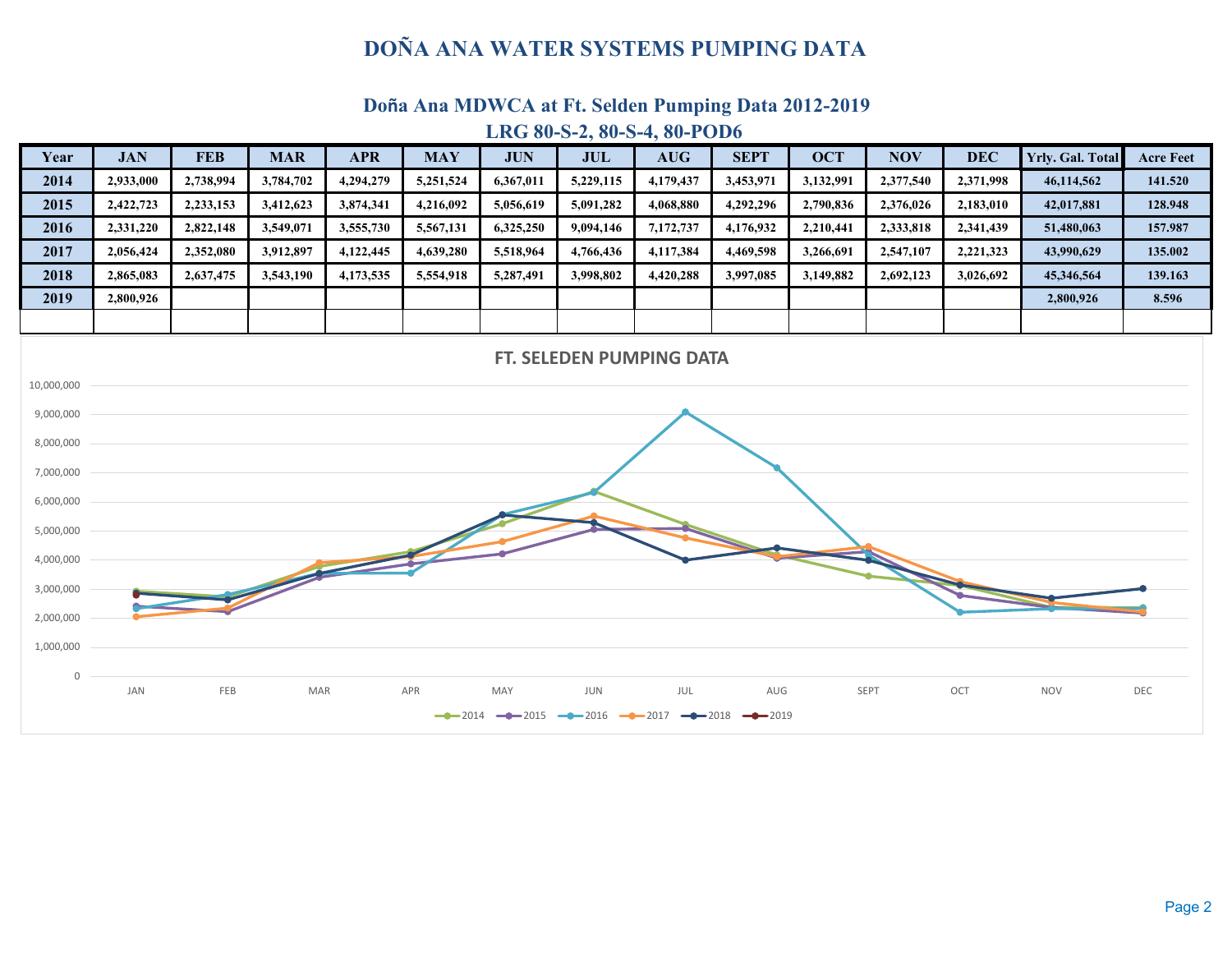## **DOÑA ANA WATER SYSTEMS PUMPING DATA**

## **Doña Ana MDWCA at Ft. Selden Pumping Data 2012-2019**



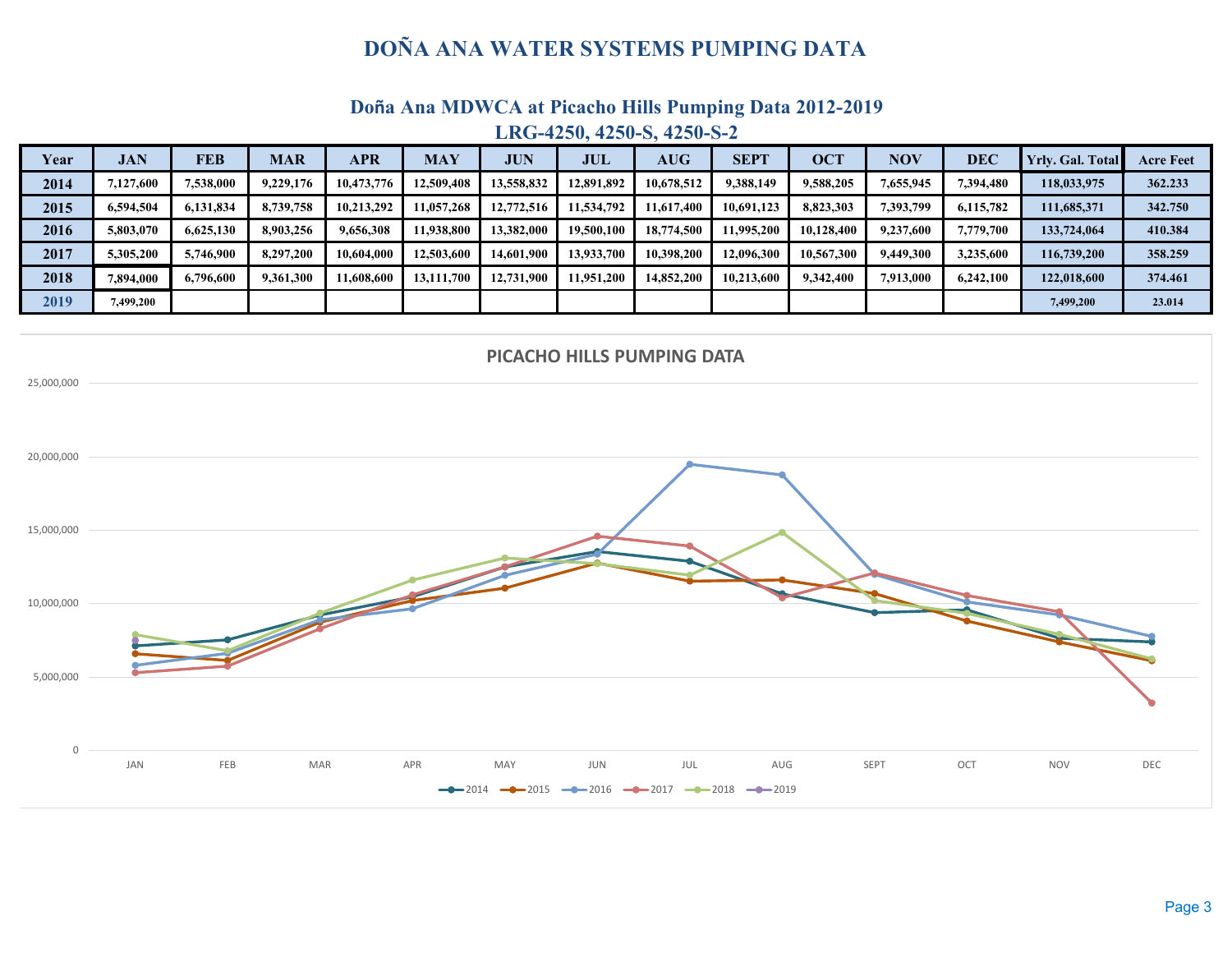## **DOÑA ANA WATER SYSTEMS PUMPING DATA**

## **Doña Ana MDWCA at Picacho Hills Pumping Data 2012-2019 LRG-4250, 4250-S, 4250-S-2**

| Year | <b>JAN</b> | <b>FEB</b> | <b>MAR</b> | <b>APR</b> | <b>MAY</b> | <b>JUN</b> | <b>JUL</b> | $\mathbf{A}\mathbf{U}\mathbf{G}$ | <b>SEPT</b> | <b>OCT</b> | <b>NOV</b> | DEC       | <b>Yrly.</b> Gal. Total | <b>Acre Feet</b> |
|------|------------|------------|------------|------------|------------|------------|------------|----------------------------------|-------------|------------|------------|-----------|-------------------------|------------------|
| 2014 | 7,127,600  | 7.538.000  | 9,229,176  | 10.473.776 | 12.509.408 | 13,558,832 | 12.891.892 | 10,678,512                       | 9.388.149   | 9,588,205  | 1,655,945  | 7,394,480 | 118,033,975             | 362.233          |
| 2015 | 6,594,504  | 6,131,834  | 8,739,758  | 10.213.292 | 11,057,268 | 12,772,516 | 11,534,792 | 11,617,400                       | 10,691,123  | 8,823,303  | 1,393,799  | 6,115,782 | 111,685,371             | 342.750          |
| 2016 | 5,803,070  | 6.625.130  | 8,903,256  | 9,656,308  | 11.938.800 | 13,382,000 | 19,500,100 | 18,774,500                       | 1.995.200   | 10.128.400 | 9,237,600  | 7,779,700 | 133,724,064             | 410.384          |
| 2017 | 5,305,200  | 5,746,900  | 8,297,200  | 10.604.000 | 12,503,600 | 14,601,900 | 13.933.700 | 10.398.200                       | 12.096.300  | 10,567,300 | 9,449,300  | 3,235,600 | 116,739,200             | 358.259          |
| 2018 | 7.894.000  | 6,796,600  | 9,361,300  | 11.608.600 | 13,111,700 | 12,731,900 | 11.951.200 | 14,852,200                       | 10.213.600  | 9,342,400  | 7,913,000  | 6.242.100 | 122,018,600             | 374.461          |
| 2019 | 7.499.200  |            |            |            |            |            |            |                                  |             |            |            |           | 7,499,200               | 23.014           |

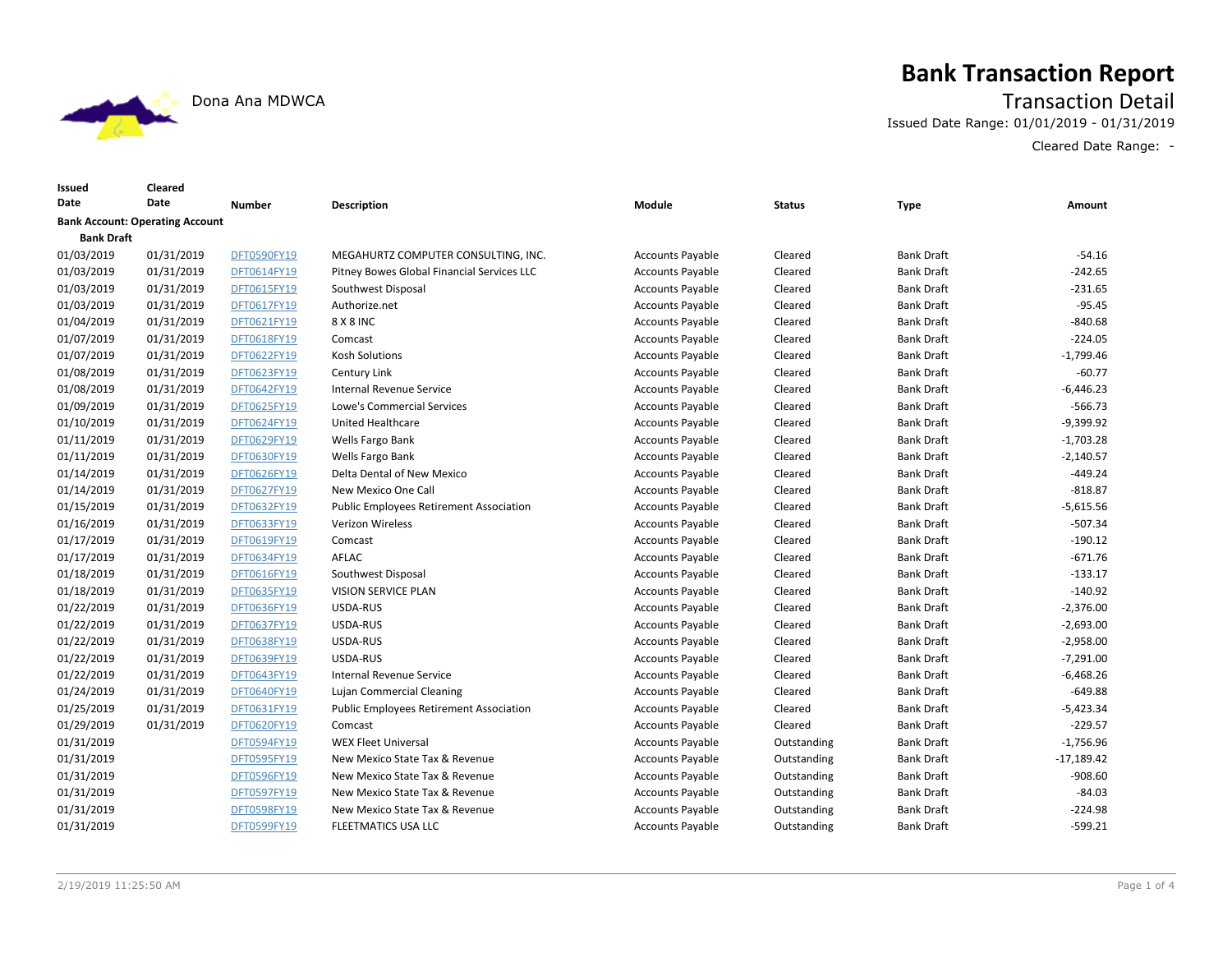

## **Bank Transaction Report**

Dona Ana MDWCA Transaction Detail

Issued Date Range: 01/01/2019 - 01/31/2019

Cleared Date Range: -

| Issued<br>Date    | Cleared<br>Date                        | <b>Number</b> | <b>Description</b>                             | Module                  | <b>Status</b> | <b>Type</b>       | Amount       |
|-------------------|----------------------------------------|---------------|------------------------------------------------|-------------------------|---------------|-------------------|--------------|
|                   | <b>Bank Account: Operating Account</b> |               |                                                |                         |               |                   |              |
| <b>Bank Draft</b> |                                        |               |                                                |                         |               |                   |              |
| 01/03/2019        | 01/31/2019                             | DFT0590FY19   | MEGAHURTZ COMPUTER CONSULTING, INC.            | <b>Accounts Payable</b> | Cleared       | <b>Bank Draft</b> | $-54.16$     |
| 01/03/2019        | 01/31/2019                             | DFT0614FY19   | Pitney Bowes Global Financial Services LLC     | <b>Accounts Payable</b> | Cleared       | <b>Bank Draft</b> | $-242.65$    |
| 01/03/2019        | 01/31/2019                             | DFT0615FY19   | Southwest Disposal                             | <b>Accounts Payable</b> | Cleared       | <b>Bank Draft</b> | $-231.65$    |
| 01/03/2019        | 01/31/2019                             | DFT0617FY19   | Authorize.net                                  | <b>Accounts Payable</b> | Cleared       | <b>Bank Draft</b> | $-95.45$     |
| 01/04/2019        | 01/31/2019                             | DFT0621FY19   | 8 X 8 INC                                      | <b>Accounts Payable</b> | Cleared       | <b>Bank Draft</b> | $-840.68$    |
| 01/07/2019        | 01/31/2019                             | DFT0618FY19   | Comcast                                        | <b>Accounts Payable</b> | Cleared       | <b>Bank Draft</b> | $-224.05$    |
| 01/07/2019        | 01/31/2019                             | DFT0622FY19   | <b>Kosh Solutions</b>                          | <b>Accounts Payable</b> | Cleared       | <b>Bank Draft</b> | $-1,799.46$  |
| 01/08/2019        | 01/31/2019                             | DFT0623FY19   | Century Link                                   | <b>Accounts Payable</b> | Cleared       | <b>Bank Draft</b> | $-60.77$     |
| 01/08/2019        | 01/31/2019                             | DFT0642FY19   | Internal Revenue Service                       | <b>Accounts Payable</b> | Cleared       | <b>Bank Draft</b> | $-6,446.23$  |
| 01/09/2019        | 01/31/2019                             | DFT0625FY19   | <b>Lowe's Commercial Services</b>              | <b>Accounts Payable</b> | Cleared       | <b>Bank Draft</b> | $-566.73$    |
| 01/10/2019        | 01/31/2019                             | DFT0624FY19   | United Healthcare                              | <b>Accounts Payable</b> | Cleared       | <b>Bank Draft</b> | -9,399.92    |
| 01/11/2019        | 01/31/2019                             | DFT0629FY19   | Wells Fargo Bank                               | <b>Accounts Payable</b> | Cleared       | <b>Bank Draft</b> | $-1,703.28$  |
| 01/11/2019        | 01/31/2019                             | DFT0630FY19   | Wells Fargo Bank                               | <b>Accounts Payable</b> | Cleared       | <b>Bank Draft</b> | $-2,140.57$  |
| 01/14/2019        | 01/31/2019                             | DFT0626FY19   | Delta Dental of New Mexico                     | <b>Accounts Payable</b> | Cleared       | <b>Bank Draft</b> | $-449.24$    |
| 01/14/2019        | 01/31/2019                             | DFT0627FY19   | New Mexico One Call                            | <b>Accounts Payable</b> | Cleared       | <b>Bank Draft</b> | $-818.87$    |
| 01/15/2019        | 01/31/2019                             | DFT0632FY19   | <b>Public Employees Retirement Association</b> | <b>Accounts Payable</b> | Cleared       | <b>Bank Draft</b> | $-5,615.56$  |
| 01/16/2019        | 01/31/2019                             | DFT0633FY19   | Verizon Wireless                               | <b>Accounts Payable</b> | Cleared       | <b>Bank Draft</b> | $-507.34$    |
| 01/17/2019        | 01/31/2019                             | DFT0619FY19   | Comcast                                        | <b>Accounts Payable</b> | Cleared       | <b>Bank Draft</b> | $-190.12$    |
| 01/17/2019        | 01/31/2019                             | DFT0634FY19   | AFLAC                                          | <b>Accounts Payable</b> | Cleared       | <b>Bank Draft</b> | $-671.76$    |
| 01/18/2019        | 01/31/2019                             | DFT0616FY19   | Southwest Disposal                             | <b>Accounts Payable</b> | Cleared       | <b>Bank Draft</b> | $-133.17$    |
| 01/18/2019        | 01/31/2019                             | DFT0635FY19   | <b>VISION SERVICE PLAN</b>                     | <b>Accounts Payable</b> | Cleared       | <b>Bank Draft</b> | $-140.92$    |
| 01/22/2019        | 01/31/2019                             | DFT0636FY19   | USDA-RUS                                       | <b>Accounts Payable</b> | Cleared       | <b>Bank Draft</b> | $-2,376.00$  |
| 01/22/2019        | 01/31/2019                             | DFT0637FY19   | USDA-RUS                                       | <b>Accounts Payable</b> | Cleared       | <b>Bank Draft</b> | $-2,693.00$  |
| 01/22/2019        | 01/31/2019                             | DFT0638FY19   | USDA-RUS                                       | <b>Accounts Payable</b> | Cleared       | <b>Bank Draft</b> | $-2,958.00$  |
| 01/22/2019        | 01/31/2019                             | DFT0639FY19   | USDA-RUS                                       | <b>Accounts Payable</b> | Cleared       | <b>Bank Draft</b> | $-7,291.00$  |
| 01/22/2019        | 01/31/2019                             | DFT0643FY19   | Internal Revenue Service                       | <b>Accounts Payable</b> | Cleared       | <b>Bank Draft</b> | $-6,468.26$  |
| 01/24/2019        | 01/31/2019                             | DFT0640FY19   | Lujan Commercial Cleaning                      | <b>Accounts Payable</b> | Cleared       | <b>Bank Draft</b> | $-649.88$    |
| 01/25/2019        | 01/31/2019                             | DFT0631FY19   | <b>Public Employees Retirement Association</b> | <b>Accounts Payable</b> | Cleared       | <b>Bank Draft</b> | $-5,423.34$  |
| 01/29/2019        | 01/31/2019                             | DFT0620FY19   | Comcast                                        | <b>Accounts Payable</b> | Cleared       | <b>Bank Draft</b> | -229.57      |
| 01/31/2019        |                                        | DFT0594FY19   | <b>WEX Fleet Universal</b>                     | <b>Accounts Payable</b> | Outstanding   | <b>Bank Draft</b> | $-1,756.96$  |
| 01/31/2019        |                                        | DFT0595FY19   | New Mexico State Tax & Revenue                 | <b>Accounts Payable</b> | Outstanding   | <b>Bank Draft</b> | $-17,189.42$ |
| 01/31/2019        |                                        | DFT0596FY19   | New Mexico State Tax & Revenue                 | <b>Accounts Payable</b> | Outstanding   | <b>Bank Draft</b> | $-908.60$    |
| 01/31/2019        |                                        | DFT0597FY19   | New Mexico State Tax & Revenue                 | <b>Accounts Payable</b> | Outstanding   | <b>Bank Draft</b> | $-84.03$     |
| 01/31/2019        |                                        | DFT0598FY19   | New Mexico State Tax & Revenue                 | <b>Accounts Payable</b> | Outstanding   | <b>Bank Draft</b> | $-224.98$    |
| 01/31/2019        |                                        | DFT0599FY19   | <b>FLEETMATICS USA LLC</b>                     | <b>Accounts Payable</b> | Outstanding   | <b>Bank Draft</b> | $-599.21$    |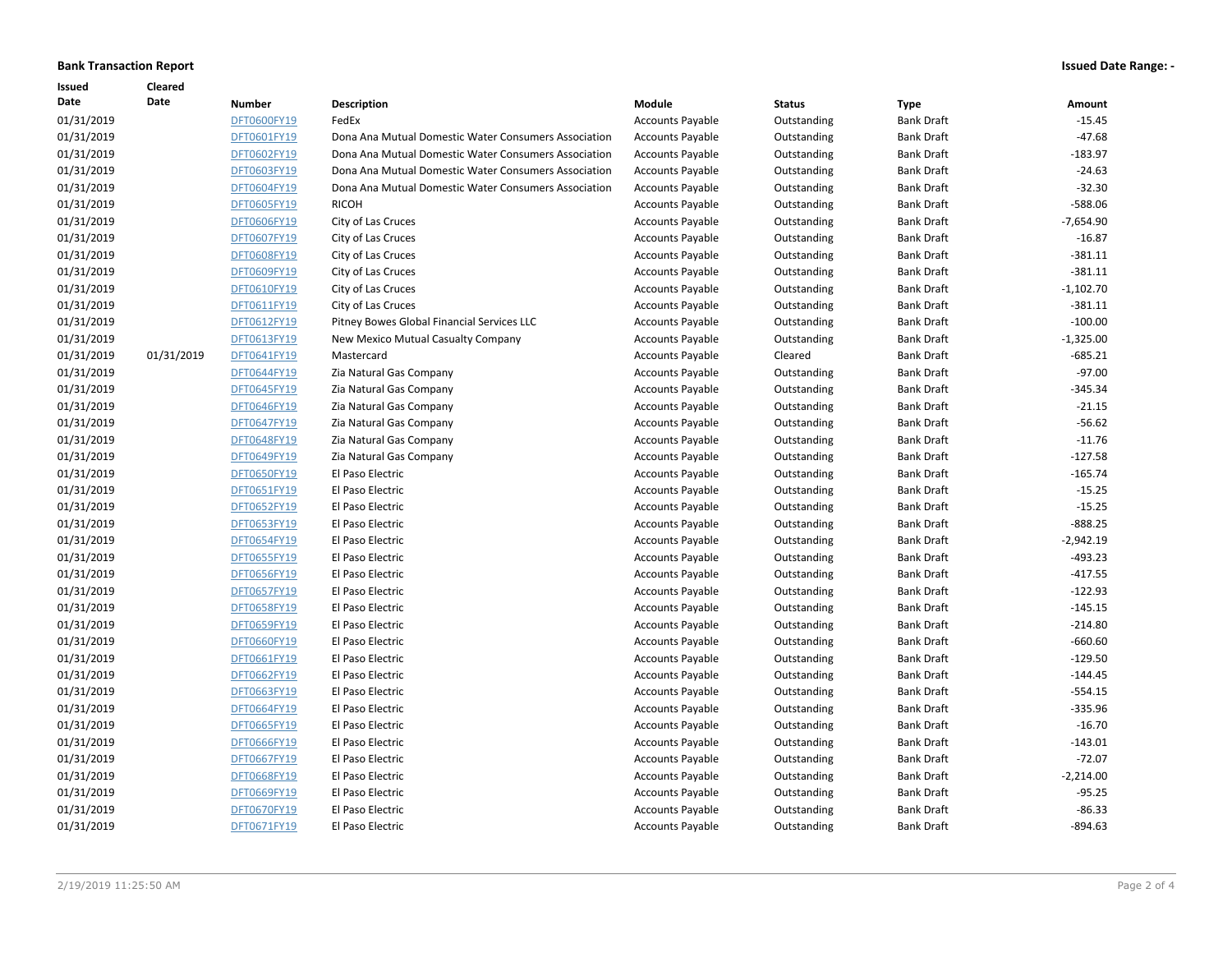### **Bank Transaction Report Issued Date Range: -**

| Issued     | Cleared    |               |                                                      |                         |               |                   |             |
|------------|------------|---------------|------------------------------------------------------|-------------------------|---------------|-------------------|-------------|
| Date       | Date       | <b>Number</b> | Description                                          | Module                  | <b>Status</b> | <b>Type</b>       | Amount      |
| 01/31/2019 |            | DFT0600FY19   | FedEx                                                | <b>Accounts Payable</b> | Outstanding   | <b>Bank Draft</b> | $-15.45$    |
| 01/31/2019 |            | DFT0601FY19   | Dona Ana Mutual Domestic Water Consumers Association | <b>Accounts Payable</b> | Outstanding   | <b>Bank Draft</b> | $-47.68$    |
| 01/31/2019 |            | DFT0602FY19   | Dona Ana Mutual Domestic Water Consumers Association | <b>Accounts Payable</b> | Outstanding   | <b>Bank Draft</b> | $-183.97$   |
| 01/31/2019 |            | DFT0603FY19   | Dona Ana Mutual Domestic Water Consumers Association | <b>Accounts Payable</b> | Outstanding   | <b>Bank Draft</b> | $-24.63$    |
| 01/31/2019 |            | DFT0604FY19   | Dona Ana Mutual Domestic Water Consumers Association | <b>Accounts Payable</b> | Outstanding   | <b>Bank Draft</b> | $-32.30$    |
| 01/31/2019 |            | DFT0605FY19   | <b>RICOH</b>                                         | <b>Accounts Payable</b> | Outstanding   | Bank Draft        | $-588.06$   |
| 01/31/2019 |            | DFT0606FY19   | City of Las Cruces                                   | <b>Accounts Payable</b> | Outstanding   | <b>Bank Draft</b> | $-7,654.90$ |
| 01/31/2019 |            | DFT0607FY19   | City of Las Cruces                                   | <b>Accounts Payable</b> | Outstanding   | <b>Bank Draft</b> | $-16.87$    |
| 01/31/2019 |            | DFT0608FY19   | City of Las Cruces                                   | <b>Accounts Payable</b> | Outstanding   | <b>Bank Draft</b> | $-381.11$   |
| 01/31/2019 |            | DFT0609FY19   | City of Las Cruces                                   | <b>Accounts Payable</b> | Outstanding   | <b>Bank Draft</b> | $-381.11$   |
| 01/31/2019 |            | DFT0610FY19   | City of Las Cruces                                   | <b>Accounts Payable</b> | Outstanding   | <b>Bank Draft</b> | $-1,102.70$ |
| 01/31/2019 |            | DFT0611FY19   | City of Las Cruces                                   | <b>Accounts Payable</b> | Outstanding   | <b>Bank Draft</b> | $-381.11$   |
| 01/31/2019 |            | DFT0612FY19   | Pitney Bowes Global Financial Services LLC           | <b>Accounts Payable</b> | Outstanding   | <b>Bank Draft</b> | $-100.00$   |
| 01/31/2019 |            | DFT0613FY19   | New Mexico Mutual Casualty Company                   | <b>Accounts Payable</b> | Outstanding   | <b>Bank Draft</b> | $-1,325.00$ |
| 01/31/2019 | 01/31/2019 | DFT0641FY19   | Mastercard                                           | <b>Accounts Payable</b> | Cleared       | <b>Bank Draft</b> | $-685.21$   |
| 01/31/2019 |            | DFT0644FY19   | Zia Natural Gas Company                              | <b>Accounts Payable</b> | Outstanding   | <b>Bank Draft</b> | $-97.00$    |
| 01/31/2019 |            | DFT0645FY19   | Zia Natural Gas Company                              | <b>Accounts Payable</b> | Outstanding   | <b>Bank Draft</b> | $-345.34$   |
| 01/31/2019 |            | DFT0646FY19   | Zia Natural Gas Company                              | <b>Accounts Payable</b> | Outstanding   | <b>Bank Draft</b> | $-21.15$    |
| 01/31/2019 |            | DFT0647FY19   | Zia Natural Gas Company                              | <b>Accounts Payable</b> | Outstanding   | <b>Bank Draft</b> | $-56.62$    |
| 01/31/2019 |            | DFT0648FY19   | Zia Natural Gas Company                              | <b>Accounts Payable</b> | Outstanding   | <b>Bank Draft</b> | $-11.76$    |
| 01/31/2019 |            | DFT0649FY19   | Zia Natural Gas Company                              | <b>Accounts Payable</b> | Outstanding   | <b>Bank Draft</b> | $-127.58$   |
| 01/31/2019 |            | DFT0650FY19   | El Paso Electric                                     | <b>Accounts Payable</b> | Outstanding   | <b>Bank Draft</b> | $-165.74$   |
| 01/31/2019 |            | DFT0651FY19   | El Paso Electric                                     | <b>Accounts Payable</b> | Outstanding   | <b>Bank Draft</b> | $-15.25$    |
| 01/31/2019 |            | DFT0652FY19   | El Paso Electric                                     | <b>Accounts Payable</b> | Outstanding   | <b>Bank Draft</b> | $-15.25$    |
| 01/31/2019 |            | DFT0653FY19   | El Paso Electric                                     | <b>Accounts Payable</b> | Outstanding   | <b>Bank Draft</b> | $-888.25$   |
| 01/31/2019 |            | DFT0654FY19   | El Paso Electric                                     | <b>Accounts Payable</b> | Outstanding   | <b>Bank Draft</b> | $-2,942.19$ |
| 01/31/2019 |            | DFT0655FY19   | El Paso Electric                                     | <b>Accounts Payable</b> | Outstanding   | <b>Bank Draft</b> | $-493.23$   |
| 01/31/2019 |            | DFT0656FY19   | El Paso Electric                                     | <b>Accounts Payable</b> | Outstanding   | <b>Bank Draft</b> | $-417.55$   |
| 01/31/2019 |            | DFT0657FY19   | El Paso Electric                                     | <b>Accounts Payable</b> | Outstanding   | <b>Bank Draft</b> | $-122.93$   |
| 01/31/2019 |            | DFT0658FY19   | El Paso Electric                                     | <b>Accounts Payable</b> | Outstanding   | <b>Bank Draft</b> | $-145.15$   |
| 01/31/2019 |            | DFT0659FY19   | El Paso Electric                                     | <b>Accounts Payable</b> | Outstanding   | Bank Draft        | $-214.80$   |
| 01/31/2019 |            | DFT0660FY19   | El Paso Electric                                     | <b>Accounts Payable</b> | Outstanding   | <b>Bank Draft</b> | $-660.60$   |
| 01/31/2019 |            | DFT0661FY19   | El Paso Electric                                     | <b>Accounts Payable</b> | Outstanding   | <b>Bank Draft</b> | $-129.50$   |
| 01/31/2019 |            | DFT0662FY19   | El Paso Electric                                     | <b>Accounts Payable</b> | Outstanding   | <b>Bank Draft</b> | $-144.45$   |
| 01/31/2019 |            | DFT0663FY19   | El Paso Electric                                     | <b>Accounts Payable</b> | Outstanding   | <b>Bank Draft</b> | $-554.15$   |
| 01/31/2019 |            | DFT0664FY19   | El Paso Electric                                     | <b>Accounts Payable</b> | Outstanding   | <b>Bank Draft</b> | $-335.96$   |
| 01/31/2019 |            | DFT0665FY19   | El Paso Electric                                     | <b>Accounts Payable</b> | Outstanding   | <b>Bank Draft</b> | $-16.70$    |
| 01/31/2019 |            | DFT0666FY19   | El Paso Electric                                     | <b>Accounts Payable</b> | Outstanding   | <b>Bank Draft</b> | $-143.01$   |
| 01/31/2019 |            | DFT0667FY19   | El Paso Electric                                     | <b>Accounts Payable</b> | Outstanding   | <b>Bank Draft</b> | $-72.07$    |
| 01/31/2019 |            | DFT0668FY19   | El Paso Electric                                     | <b>Accounts Payable</b> | Outstanding   | <b>Bank Draft</b> | $-2,214.00$ |
| 01/31/2019 |            | DFT0669FY19   | El Paso Electric                                     | <b>Accounts Payable</b> | Outstanding   | <b>Bank Draft</b> | $-95.25$    |
| 01/31/2019 |            | DFT0670FY19   | El Paso Electric                                     | <b>Accounts Payable</b> | Outstanding   | <b>Bank Draft</b> | $-86.33$    |
| 01/31/2019 |            | DFT0671FY19   | El Paso Electric                                     | <b>Accounts Payable</b> | Outstanding   | <b>Bank Draft</b> | $-894.63$   |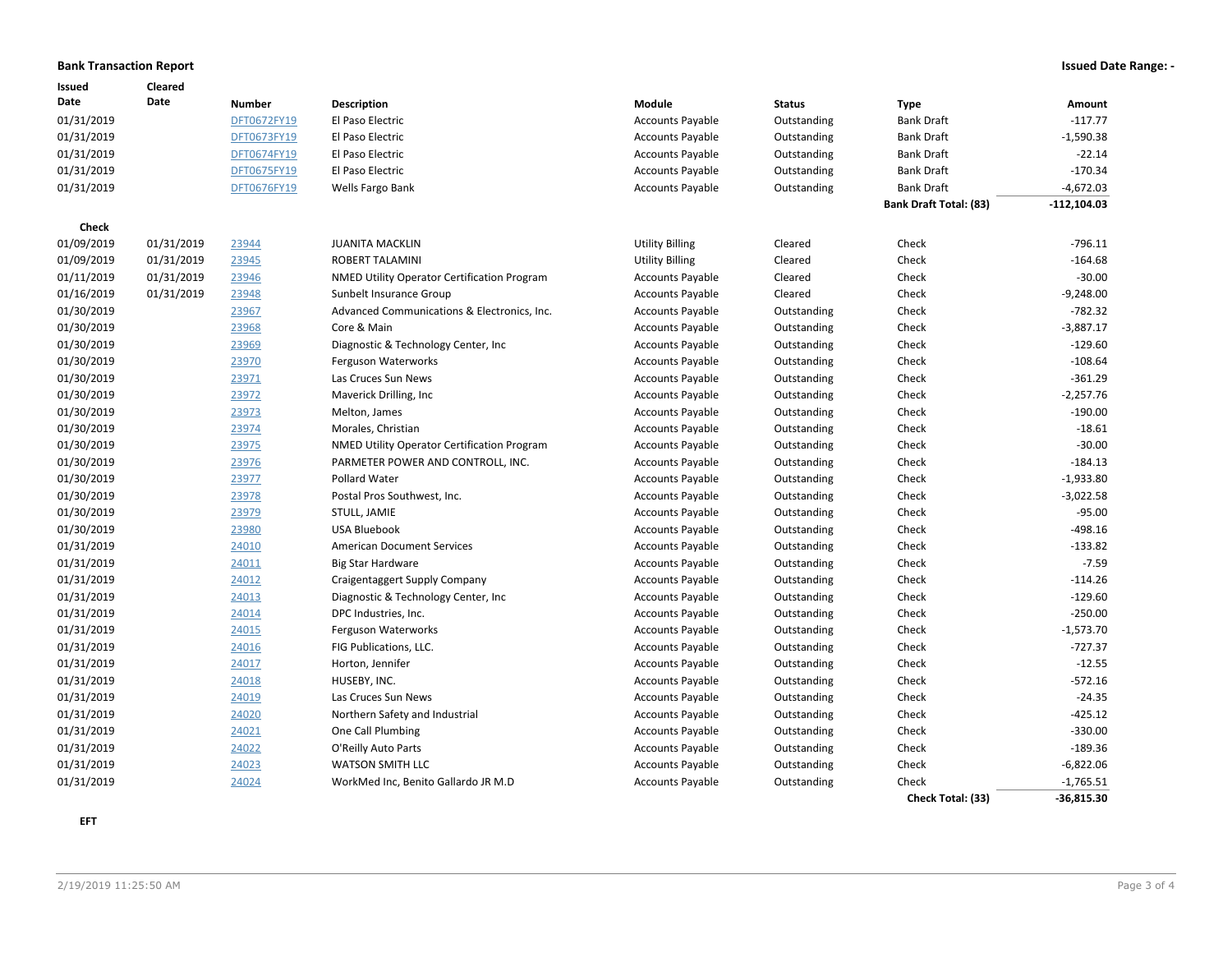### **Bank Transaction Report Issued Date Range: -**

| Issued     | Cleared    |               |                                             |                         |               |                               |                |
|------------|------------|---------------|---------------------------------------------|-------------------------|---------------|-------------------------------|----------------|
| Date       | Date       | <b>Number</b> | Description                                 | Module                  | <b>Status</b> | <b>Type</b>                   | Amount         |
| 01/31/2019 |            | DFT0672FY19   | El Paso Electric                            | <b>Accounts Payable</b> | Outstanding   | <b>Bank Draft</b>             | $-117.77$      |
| 01/31/2019 |            | DFT0673FY19   | El Paso Electric                            | <b>Accounts Payable</b> | Outstanding   | <b>Bank Draft</b>             | $-1,590.38$    |
| 01/31/2019 |            | DFT0674FY19   | El Paso Electric                            | <b>Accounts Payable</b> | Outstanding   | <b>Bank Draft</b>             | $-22.14$       |
| 01/31/2019 |            | DFT0675FY19   | El Paso Electric                            | <b>Accounts Payable</b> | Outstanding   | <b>Bank Draft</b>             | $-170.34$      |
| 01/31/2019 |            | DFT0676FY19   | Wells Fargo Bank                            | <b>Accounts Payable</b> | Outstanding   | <b>Bank Draft</b>             | $-4,672.03$    |
|            |            |               |                                             |                         |               | <b>Bank Draft Total: (83)</b> | $-112, 104.03$ |
| Check      |            |               |                                             |                         |               |                               |                |
| 01/09/2019 | 01/31/2019 | 23944         | <b>JUANITA MACKLIN</b>                      | <b>Utility Billing</b>  | Cleared       | Check                         | $-796.11$      |
| 01/09/2019 | 01/31/2019 | 23945         | <b>ROBERT TALAMINI</b>                      | <b>Utility Billing</b>  | Cleared       | Check                         | $-164.68$      |
| 01/11/2019 | 01/31/2019 | 23946         | NMED Utility Operator Certification Program | <b>Accounts Payable</b> | Cleared       | Check                         | $-30.00$       |
| 01/16/2019 | 01/31/2019 | 23948         | Sunbelt Insurance Group                     | <b>Accounts Payable</b> | Cleared       | Check                         | $-9,248.00$    |
| 01/30/2019 |            | 23967         | Advanced Communications & Electronics, Inc. | <b>Accounts Payable</b> | Outstanding   | Check                         | $-782.32$      |
| 01/30/2019 |            | 23968         | Core & Main                                 | <b>Accounts Payable</b> | Outstanding   | Check                         | $-3,887.17$    |
| 01/30/2019 |            | 23969         | Diagnostic & Technology Center, Inc.        | <b>Accounts Payable</b> | Outstanding   | Check                         | $-129.60$      |
| 01/30/2019 |            | 23970         | Ferguson Waterworks                         | <b>Accounts Payable</b> | Outstanding   | Check                         | $-108.64$      |
| 01/30/2019 |            | 23971         | Las Cruces Sun News                         | <b>Accounts Payable</b> | Outstanding   | Check                         | $-361.29$      |
| 01/30/2019 |            | 23972         | Maverick Drilling, Inc                      | <b>Accounts Payable</b> | Outstanding   | Check                         | $-2,257.76$    |
| 01/30/2019 |            | 23973         | Melton, James                               | <b>Accounts Payable</b> | Outstanding   | Check                         | $-190.00$      |
| 01/30/2019 |            | 23974         | Morales, Christian                          | <b>Accounts Payable</b> | Outstanding   | Check                         | $-18.61$       |
| 01/30/2019 |            | 23975         | NMED Utility Operator Certification Program | <b>Accounts Payable</b> | Outstanding   | Check                         | $-30.00$       |
| 01/30/2019 |            | 23976         | PARMETER POWER AND CONTROLL, INC.           | <b>Accounts Payable</b> | Outstanding   | Check                         | $-184.13$      |
| 01/30/2019 |            | 23977         | Pollard Water                               | <b>Accounts Payable</b> | Outstanding   | Check                         | $-1,933.80$    |
| 01/30/2019 |            | 23978         | Postal Pros Southwest, Inc.                 | <b>Accounts Payable</b> | Outstanding   | Check                         | $-3,022.58$    |
| 01/30/2019 |            | 23979         | STULL, JAMIE                                | <b>Accounts Payable</b> | Outstanding   | Check                         | $-95.00$       |
| 01/30/2019 |            | 23980         | <b>USA Bluebook</b>                         | <b>Accounts Payable</b> | Outstanding   | Check                         | $-498.16$      |
| 01/31/2019 |            | 24010         | <b>American Document Services</b>           | <b>Accounts Payable</b> | Outstanding   | Check                         | $-133.82$      |
| 01/31/2019 |            | 24011         | <b>Big Star Hardware</b>                    | <b>Accounts Payable</b> | Outstanding   | Check                         | $-7.59$        |
| 01/31/2019 |            | 24012         | Craigentaggert Supply Company               | <b>Accounts Payable</b> | Outstanding   | Check                         | $-114.26$      |
| 01/31/2019 |            | 24013         | Diagnostic & Technology Center, Inc.        | <b>Accounts Payable</b> | Outstanding   | Check                         | $-129.60$      |
| 01/31/2019 |            | 24014         | DPC Industries, Inc.                        | <b>Accounts Payable</b> | Outstanding   | Check                         | $-250.00$      |
| 01/31/2019 |            | 24015         | Ferguson Waterworks                         | <b>Accounts Payable</b> | Outstanding   | Check                         | $-1,573.70$    |
| 01/31/2019 |            | 24016         | FIG Publications, LLC.                      | <b>Accounts Payable</b> | Outstanding   | Check                         | $-727.37$      |
| 01/31/2019 |            | 24017         | Horton, Jennifer                            | <b>Accounts Payable</b> | Outstanding   | Check                         | $-12.55$       |
| 01/31/2019 |            | 24018         | HUSEBY, INC.                                | <b>Accounts Payable</b> | Outstanding   | Check                         | $-572.16$      |
| 01/31/2019 |            | 24019         | Las Cruces Sun News                         | <b>Accounts Payable</b> | Outstanding   | Check                         | $-24.35$       |
| 01/31/2019 |            | 24020         | Northern Safety and Industrial              | <b>Accounts Payable</b> | Outstanding   | Check                         | $-425.12$      |
| 01/31/2019 |            | 24021         | One Call Plumbing                           | <b>Accounts Payable</b> | Outstanding   | Check                         | $-330.00$      |
| 01/31/2019 |            | 24022         | O'Reilly Auto Parts                         | <b>Accounts Payable</b> | Outstanding   | Check                         | $-189.36$      |
| 01/31/2019 |            | 24023         | <b>WATSON SMITH LLC</b>                     | <b>Accounts Payable</b> | Outstanding   | Check                         | $-6,822.06$    |
| 01/31/2019 |            | 24024         | WorkMed Inc, Benito Gallardo JR M.D         | <b>Accounts Payable</b> | Outstanding   | Check                         | $-1,765.51$    |
|            |            |               |                                             |                         |               | Check Total: (33)             | $-36,815.30$   |

**EFT**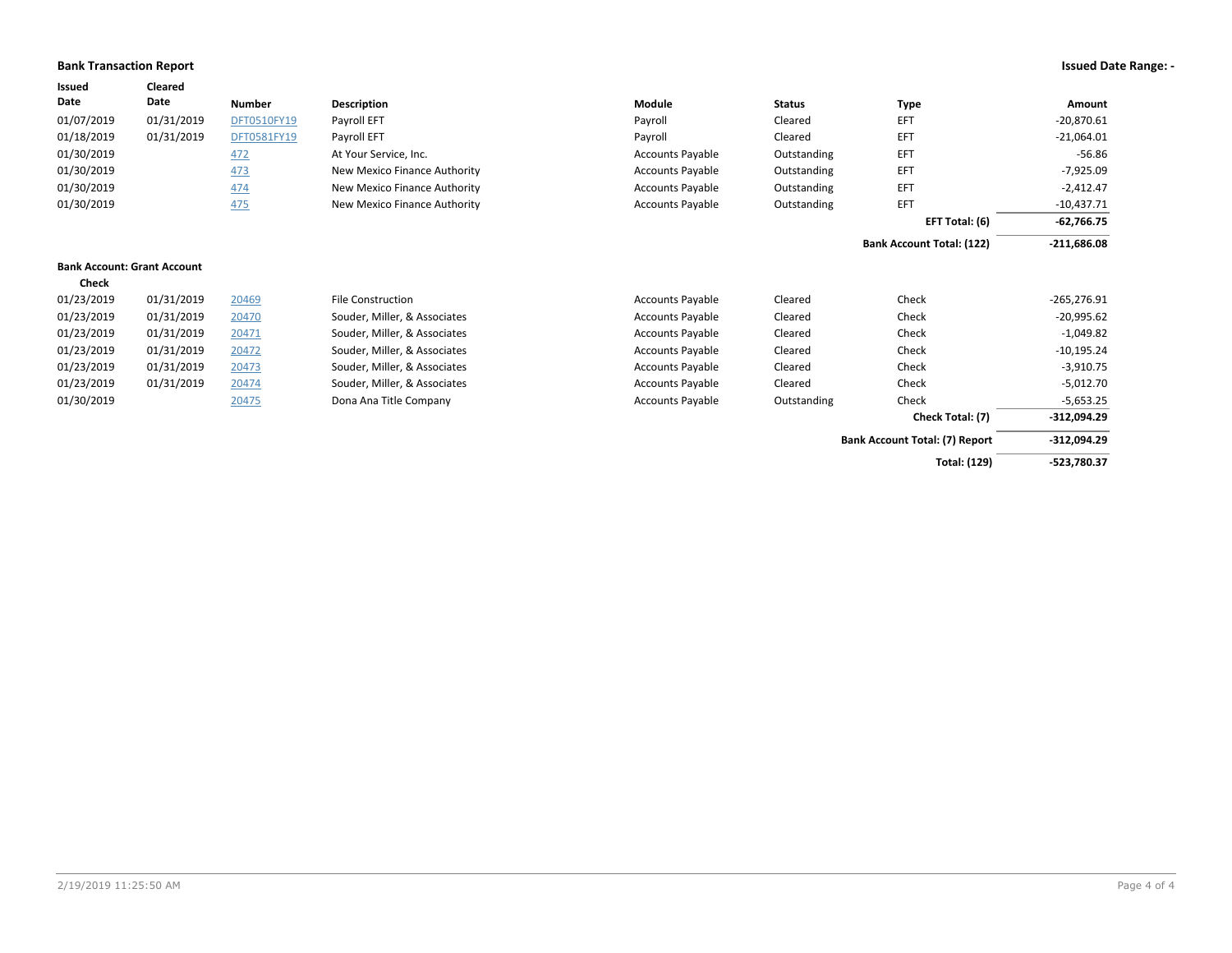### **Bank Transaction Report Issued Date Range: -**

| Issued     | Cleared                            |               |                              |                         |               |                                  |               |
|------------|------------------------------------|---------------|------------------------------|-------------------------|---------------|----------------------------------|---------------|
| Date       | Date                               | <b>Number</b> | Description                  | Module                  | <b>Status</b> | <b>Type</b>                      | Amount        |
| 01/07/2019 | 01/31/2019                         | DFT0510FY19   | Payroll EFT                  | Payroll                 | Cleared       | EFT                              | $-20,870.61$  |
| 01/18/2019 | 01/31/2019                         | DFT0581FY19   | Payroll EFT                  | Payroll                 | Cleared       | EFT                              | $-21,064.01$  |
| 01/30/2019 |                                    | 472           | At Your Service, Inc.        | <b>Accounts Payable</b> | Outstanding   | EFT                              | $-56.86$      |
| 01/30/2019 |                                    | 473           | New Mexico Finance Authority | <b>Accounts Payable</b> | Outstanding   | EFT                              | $-7,925.09$   |
| 01/30/2019 |                                    | 474           | New Mexico Finance Authority | <b>Accounts Payable</b> | Outstanding   | EFT                              | $-2,412.47$   |
| 01/30/2019 |                                    | 475           | New Mexico Finance Authority | <b>Accounts Payable</b> | Outstanding   | EFT                              | $-10,437.71$  |
|            |                                    |               |                              |                         |               | EFT Total: (6)                   | $-62,766.75$  |
|            |                                    |               |                              |                         |               | <b>Bank Account Total: (122)</b> | $-211,686.08$ |
|            | <b>Bank Account: Grant Account</b> |               |                              |                         |               |                                  |               |
| Check      |                                    |               |                              |                         |               |                                  |               |
| 01/23/2019 | 01/31/2019                         | 20469         | <b>File Construction</b>     | <b>Accounts Payable</b> | Cleared       | Check                            | $-265,276.91$ |
| 01/23/2019 | 01/31/2019                         | 20470         | Souder, Miller, & Associates | <b>Accounts Payable</b> | Cleared       | Check                            | $-20,995.62$  |
| 01/23/2019 | 01/31/2019                         | 20471         | Souder, Miller, & Associates | <b>Accounts Payable</b> | Cleared       | Check                            | $-1,049.82$   |
| 01/23/2019 | 01/31/2019                         | 20472         | Souder, Miller, & Associates | <b>Accounts Payable</b> | Cleared       | Check                            | $-10,195.24$  |
| 01/23/2019 | 01/31/2019                         | 20473         | Souder, Miller, & Associates | <b>Accounts Payable</b> | Cleared       | Check                            | $-3,910.75$   |

|            |            |       |                              |                         |             | Check Total: (7) | -312,094.29  |
|------------|------------|-------|------------------------------|-------------------------|-------------|------------------|--------------|
| 01/30/2019 |            | 20475 | Dona Ana Title Company       | <b>Accounts Payable</b> | Outstanding | Check            | $-5.653.25$  |
| 01/23/2019 | 01/31/2019 | 20474 | Souder, Miller, & Associates | <b>Accounts Payable</b> | Cleared     | Check            | $-5,012.70$  |
| 01/23/2019 | 01/31/2019 | 20473 | Souder, Miller, & Associates | <b>Accounts Payable</b> | Cleared     | Check            | $-3,910.75$  |
| 01/23/2019 | 01/31/2019 | 20472 | Souder, Miller, & Associates | <b>Accounts Payable</b> | Cleared     | Check            | $-10,195.24$ |
| 01/23/2019 | 01/31/2019 | 20471 | Souder, Miller, & Associates | Accounts Payable        | Cleared     | Check            | -1,049.82    |

| ıng | <b>Check</b>                          | -5,653.25     |
|-----|---------------------------------------|---------------|
|     | Check Total: (7)                      | $-312.094.29$ |
|     | <b>Bank Account Total: (7) Report</b> | $-312.094.29$ |
|     | <b>Total: (129)</b>                   | -523,780.37   |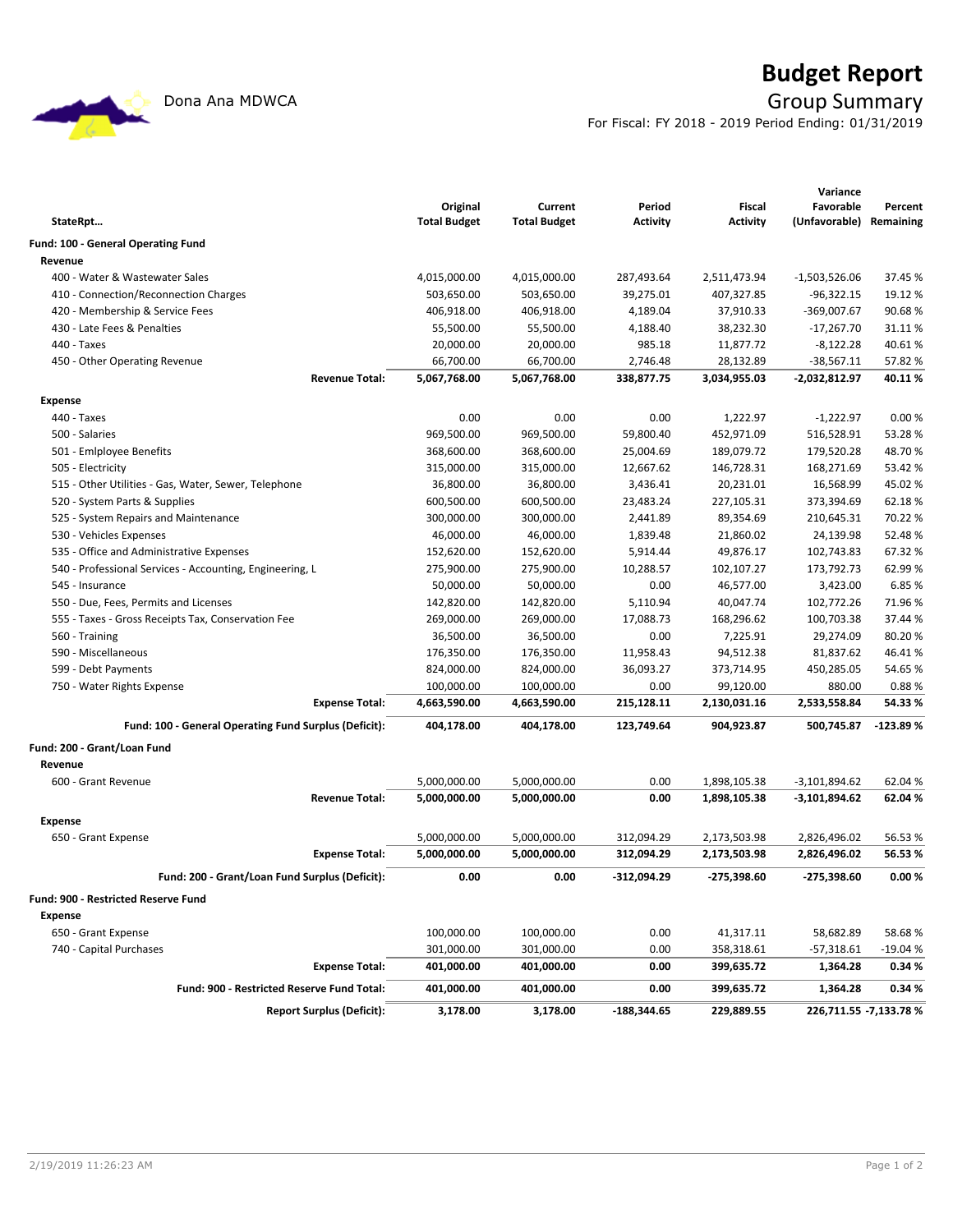

# **Budget Report**

Dona Ana MDWCA **Group Summary** 

For Fiscal: FY 2018 - 2019 Period Ending: 01/31/2019

|                                                          |                     |                     |                 |                 | Variance                |            |
|----------------------------------------------------------|---------------------|---------------------|-----------------|-----------------|-------------------------|------------|
|                                                          | Original            | Current             | Period          | Fiscal          | Favorable               | Percent    |
| StateRpt                                                 | <b>Total Budget</b> | <b>Total Budget</b> | <b>Activity</b> | <b>Activity</b> | (Unfavorable) Remaining |            |
| Fund: 100 - General Operating Fund                       |                     |                     |                 |                 |                         |            |
| Revenue                                                  |                     |                     |                 |                 |                         |            |
| 400 - Water & Wastewater Sales                           | 4,015,000.00        | 4,015,000.00        | 287,493.64      | 2,511,473.94    | $-1,503,526.06$         | 37.45 %    |
| 410 - Connection/Reconnection Charges                    | 503,650.00          | 503,650.00          | 39,275.01       | 407,327.85      | $-96,322.15$            | 19.12 %    |
| 420 - Membership & Service Fees                          | 406,918.00          | 406,918.00          | 4,189.04        | 37,910.33       | -369,007.67             | 90.68%     |
| 430 - Late Fees & Penalties                              | 55,500.00           | 55,500.00           | 4,188.40        | 38,232.30       | $-17,267.70$            | 31.11%     |
| 440 - Taxes                                              | 20,000.00           | 20,000.00           | 985.18          | 11,877.72       | $-8,122.28$             | 40.61%     |
| 450 - Other Operating Revenue                            | 66,700.00           | 66,700.00           | 2,746.48        | 28,132.89       | $-38,567.11$            | 57.82%     |
| <b>Revenue Total:</b>                                    | 5,067,768.00        | 5,067,768.00        | 338,877.75      | 3,034,955.03    | -2,032,812.97           | 40.11%     |
| <b>Expense</b>                                           |                     |                     |                 |                 |                         |            |
| 440 - Taxes                                              | 0.00                | 0.00                | 0.00            | 1,222.97        | $-1,222.97$             | 0.00%      |
| 500 - Salaries                                           | 969,500.00          | 969,500.00          | 59,800.40       | 452,971.09      | 516,528.91              | 53.28%     |
| 501 - Emlployee Benefits                                 | 368,600.00          | 368,600.00          | 25,004.69       | 189,079.72      | 179,520.28              | 48.70%     |
| 505 - Electricity                                        | 315,000.00          | 315,000.00          | 12,667.62       | 146,728.31      | 168,271.69              | 53.42 %    |
| 515 - Other Utilities - Gas, Water, Sewer, Telephone     | 36,800.00           | 36,800.00           | 3,436.41        | 20,231.01       | 16,568.99               | 45.02%     |
| 520 - System Parts & Supplies                            | 600,500.00          | 600,500.00          | 23,483.24       | 227,105.31      | 373,394.69              | 62.18%     |
| 525 - System Repairs and Maintenance                     | 300,000.00          | 300,000.00          | 2,441.89        | 89,354.69       | 210,645.31              | 70.22%     |
| 530 - Vehicles Expenses                                  | 46,000.00           | 46,000.00           | 1,839.48        | 21,860.02       | 24,139.98               | 52.48%     |
| 535 - Office and Administrative Expenses                 | 152,620.00          | 152,620.00          | 5,914.44        | 49,876.17       | 102,743.83              | 67.32%     |
| 540 - Professional Services - Accounting, Engineering, L | 275,900.00          | 275,900.00          | 10,288.57       | 102,107.27      | 173,792.73              | 62.99%     |
| 545 - Insurance                                          | 50,000.00           | 50,000.00           | 0.00            | 46,577.00       | 3,423.00                | 6.85 %     |
| 550 - Due, Fees, Permits and Licenses                    | 142,820.00          | 142,820.00          | 5,110.94        | 40,047.74       | 102,772.26              | 71.96%     |
| 555 - Taxes - Gross Receipts Tax, Conservation Fee       | 269,000.00          | 269,000.00          | 17,088.73       | 168,296.62      | 100,703.38              | 37.44 %    |
| 560 - Training                                           | 36,500.00           | 36,500.00           | 0.00            | 7,225.91        | 29,274.09               | 80.20%     |
| 590 - Miscellaneous                                      | 176,350.00          | 176,350.00          | 11,958.43       | 94,512.38       | 81,837.62               | 46.41%     |
| 599 - Debt Payments                                      | 824,000.00          | 824,000.00          | 36,093.27       | 373,714.95      | 450,285.05              | 54.65%     |
| 750 - Water Rights Expense                               | 100,000.00          | 100,000.00          | 0.00            | 99,120.00       | 880.00                  | 0.88%      |
| <b>Expense Total:</b>                                    | 4,663,590.00        | 4,663,590.00        | 215,128.11      | 2,130,031.16    | 2,533,558.84            | 54.33%     |
| Fund: 100 - General Operating Fund Surplus (Deficit):    | 404,178.00          | 404,178.00          | 123,749.64      | 904,923.87      | 500,745.87              | $-123.89%$ |
|                                                          |                     |                     |                 |                 |                         |            |
| Fund: 200 - Grant/Loan Fund                              |                     |                     |                 |                 |                         |            |
| Revenue                                                  |                     |                     |                 |                 |                         |            |
| 600 - Grant Revenue                                      | 5,000,000.00        | 5,000,000.00        | 0.00            | 1,898,105.38    | $-3,101,894.62$         | 62.04%     |
| <b>Revenue Total:</b>                                    | 5,000,000.00        | 5,000,000.00        | 0.00            | 1,898,105.38    | $-3,101,894.62$         | 62.04%     |
| <b>Expense</b>                                           |                     |                     |                 |                 |                         |            |
| 650 - Grant Expense                                      | 5,000,000.00        | 5,000,000.00        | 312,094.29      | 2,173,503.98    | 2,826,496.02            | 56.53%     |
| <b>Expense Total:</b>                                    | 5,000,000.00        | 5,000,000.00        | 312,094.29      | 2,173,503.98    | 2,826,496.02            | 56.53%     |
| Fund: 200 - Grant/Loan Fund Surplus (Deficit):           | 0.00                | 0.00                | -312,094.29     | -275,398.60     | -275,398.60             | 0.00%      |
|                                                          |                     |                     |                 |                 |                         |            |
| Fund: 900 - Restricted Reserve Fund                      |                     |                     |                 |                 |                         |            |
| <b>Expense</b>                                           |                     |                     |                 |                 |                         |            |
| 650 - Grant Expense                                      | 100,000.00          | 100,000.00          | 0.00            | 41,317.11       | 58,682.89               | 58.68%     |
| 740 - Capital Purchases                                  | 301,000.00          | 301,000.00          | 0.00            | 358,318.61      | $-57,318.61$            | $-19.04%$  |
| <b>Expense Total:</b>                                    | 401,000.00          | 401,000.00          | 0.00            | 399,635.72      | 1,364.28                | 0.34%      |
| Fund: 900 - Restricted Reserve Fund Total:               | 401,000.00          | 401,000.00          | 0.00            | 399,635.72      | 1,364.28                | 0.34%      |
| <b>Report Surplus (Deficit):</b>                         | 3,178.00            | 3,178.00            | -188,344.65     | 229,889.55      | 226,711.55 -7,133.78 %  |            |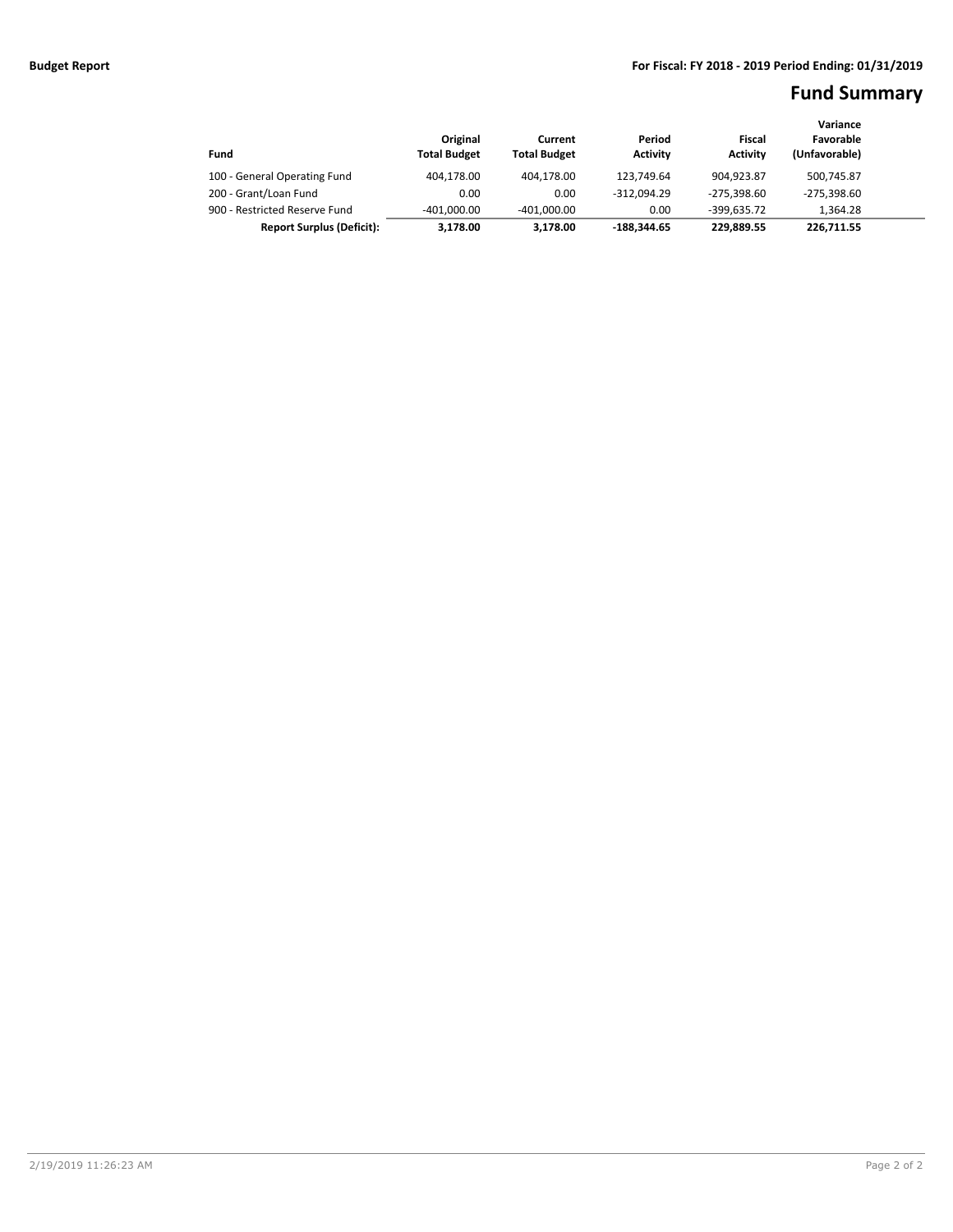## **Fund Summary**

|                                  |                     |                     |                 |                 | Variance      |  |
|----------------------------------|---------------------|---------------------|-----------------|-----------------|---------------|--|
|                                  | Original            | Current             | Period          | Fiscal          | Favorable     |  |
| Fund                             | <b>Total Budget</b> | <b>Total Budget</b> | <b>Activity</b> | <b>Activity</b> | (Unfavorable) |  |
| 100 - General Operating Fund     | 404.178.00          | 404.178.00          | 123.749.64      | 904.923.87      | 500,745.87    |  |
| 200 - Grant/Loan Fund            | 0.00                | 0.00                | $-312.094.29$   | $-275.398.60$   | $-275.398.60$ |  |
| 900 - Restricted Reserve Fund    | $-401.000.00$       | $-401.000.00$       | 0.00            | $-399.635.72$   | 1.364.28      |  |
| <b>Report Surplus (Deficit):</b> | 3.178.00            | 3.178.00            | -188.344.65     | 229.889.55      | 226.711.55    |  |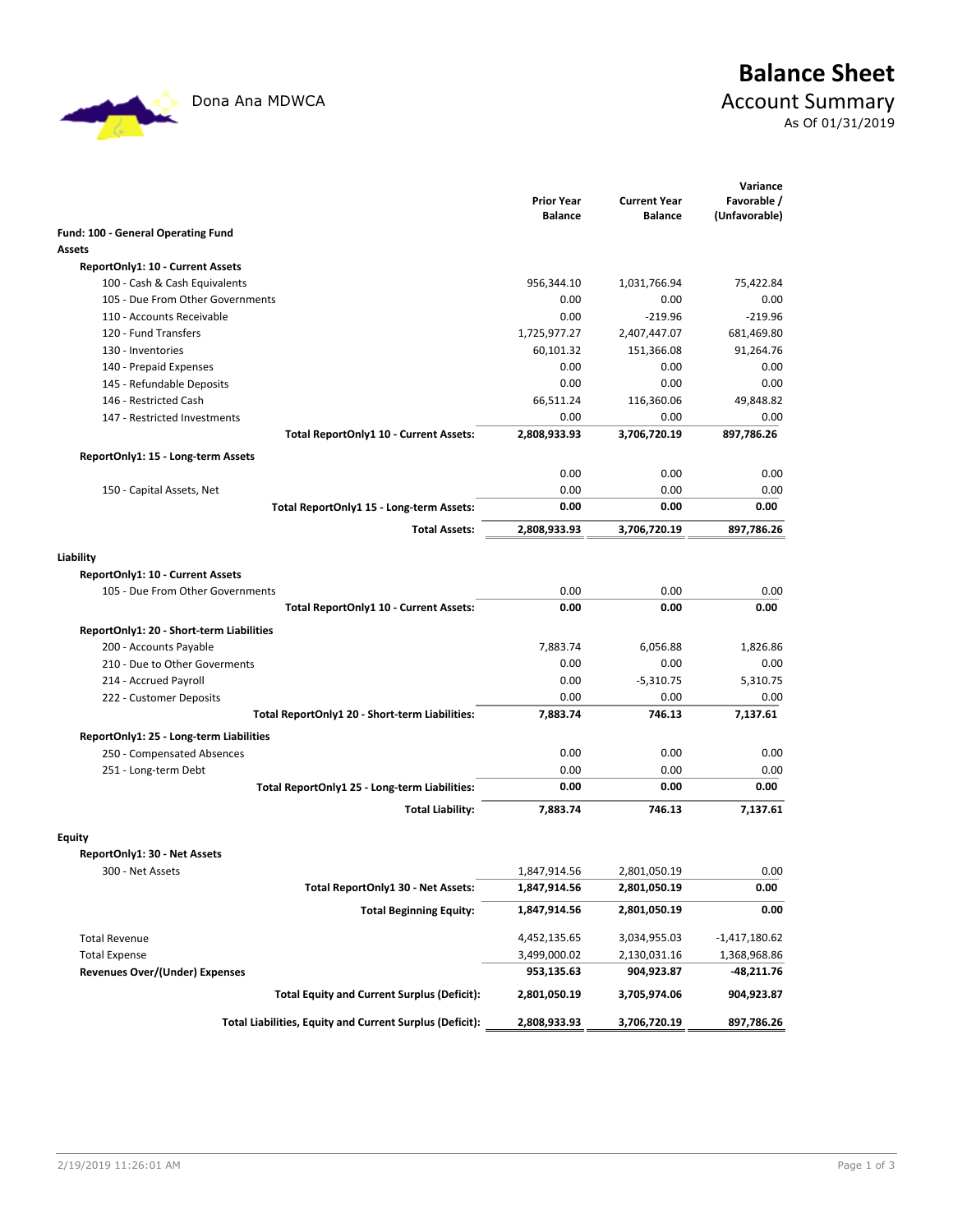$\mathcal{L}$ 

## **Balance Sheet** Dona Ana MDWCA **Account Summary** As Of 01/31/2019

|                                                          | <b>Prior Year</b> | <b>Current Year</b> | Variance<br>Favorable / |
|----------------------------------------------------------|-------------------|---------------------|-------------------------|
|                                                          | <b>Balance</b>    | <b>Balance</b>      | (Unfavorable)           |
| Fund: 100 - General Operating Fund                       |                   |                     |                         |
| Assets                                                   |                   |                     |                         |
| ReportOnly1: 10 - Current Assets                         |                   |                     |                         |
| 100 - Cash & Cash Equivalents                            | 956,344.10        | 1,031,766.94        | 75,422.84               |
| 105 - Due From Other Governments                         | 0.00              | 0.00                | 0.00                    |
| 110 - Accounts Receivable                                | 0.00              | $-219.96$           | $-219.96$               |
| 120 - Fund Transfers                                     | 1,725,977.27      | 2,407,447.07        | 681,469.80              |
| 130 - Inventories                                        | 60,101.32         | 151,366.08          | 91,264.76               |
| 140 - Prepaid Expenses                                   | 0.00              | 0.00                | 0.00                    |
| 145 - Refundable Deposits                                | 0.00              | 0.00                | 0.00                    |
| 146 - Restricted Cash                                    | 66,511.24         | 116,360.06          | 49,848.82               |
| 147 - Restricted Investments                             | 0.00              | 0.00                | 0.00                    |
| Total ReportOnly1 10 - Current Assets:                   | 2,808,933.93      | 3,706,720.19        | 897,786.26              |
| ReportOnly1: 15 - Long-term Assets                       |                   |                     |                         |
|                                                          | 0.00              | 0.00                | 0.00                    |
| 150 - Capital Assets, Net                                | 0.00              | 0.00                | 0.00                    |
| Total ReportOnly1 15 - Long-term Assets:                 | 0.00              | 0.00                | 0.00                    |
| <b>Total Assets:</b>                                     | 2,808,933.93      | 3,706,720.19        | 897,786.26              |
|                                                          |                   |                     |                         |
| Liability                                                |                   |                     |                         |
| ReportOnly1: 10 - Current Assets                         |                   |                     |                         |
| 105 - Due From Other Governments                         | 0.00              | 0.00                | 0.00                    |
| Total ReportOnly1 10 - Current Assets:                   | 0.00              | 0.00                | 0.00                    |
| ReportOnly1: 20 - Short-term Liabilities                 |                   |                     |                         |
| 200 - Accounts Payable                                   | 7,883.74          | 6,056.88            | 1,826.86                |
| 210 - Due to Other Goverments                            | 0.00              | 0.00                | 0.00                    |
| 214 - Accrued Payroll                                    | 0.00              | $-5,310.75$         | 5,310.75                |
| 222 - Customer Deposits                                  | 0.00              | 0.00                | 0.00                    |
| Total ReportOnly1 20 - Short-term Liabilities:           | 7,883.74          | 746.13              | 7,137.61                |
| ReportOnly1: 25 - Long-term Liabilities                  |                   |                     |                         |
| 250 - Compensated Absences                               | 0.00              | 0.00                | 0.00                    |
| 251 - Long-term Debt                                     | 0.00              | 0.00                | 0.00                    |
| Total ReportOnly1 25 - Long-term Liabilities:            | 0.00              | 0.00                | 0.00                    |
| <b>Total Liability:</b>                                  | 7,883.74          | 746.13              | 7,137.61                |
|                                                          |                   |                     |                         |
| Equity                                                   |                   |                     |                         |
| ReportOnly1: 30 - Net Assets                             |                   |                     |                         |
| 300 - Net Assets                                         | 1,847,914.56      | 2,801,050.19        | 0.00                    |
| Total ReportOnly1 30 - Net Assets:                       | 1,847,914.56      | 2,801,050.19        | 0.00                    |
| <b>Total Beginning Equity:</b>                           | 1,847,914.56      | 2,801,050.19        | 0.00                    |
| <b>Total Revenue</b>                                     | 4,452,135.65      | 3,034,955.03        | $-1,417,180.62$         |
| <b>Total Expense</b>                                     | 3,499,000.02      | 2,130,031.16        | 1,368,968.86            |
| <b>Revenues Over/(Under) Expenses</b>                    | 953,135.63        | 904,923.87          | -48,211.76              |
| <b>Total Equity and Current Surplus (Deficit):</b>       | 2,801,050.19      | 3,705,974.06        | 904,923.87              |
|                                                          |                   |                     |                         |
| Total Liabilities, Equity and Current Surplus (Deficit): | 2,808,933.93      | 3,706,720.19        | 897,786.26              |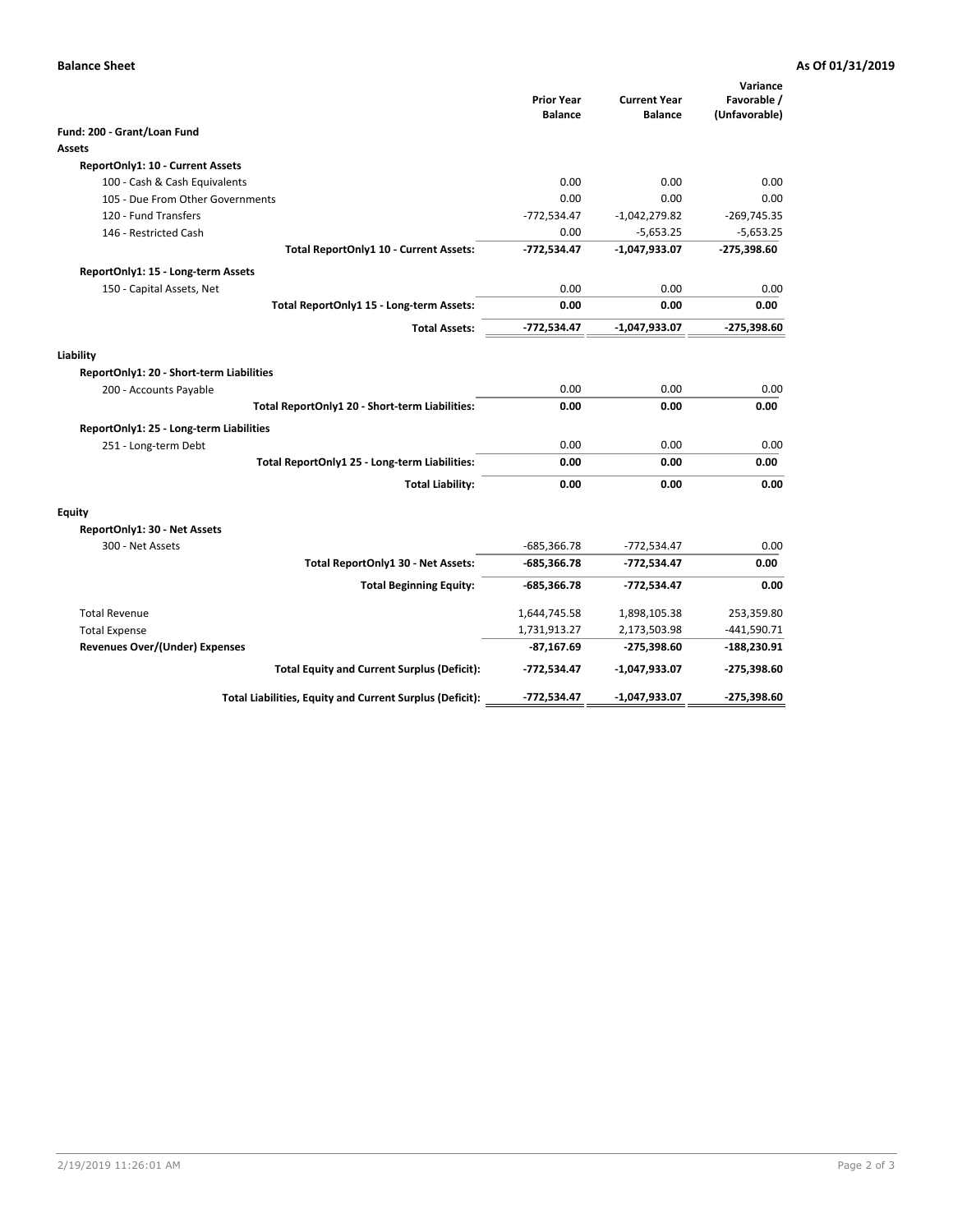### **Balance Sheet As Of 01/31/2019**

|                                                          |                                     |                                       | Variance                     |
|----------------------------------------------------------|-------------------------------------|---------------------------------------|------------------------------|
|                                                          | <b>Prior Year</b><br><b>Balance</b> | <b>Current Year</b><br><b>Balance</b> | Favorable /<br>(Unfavorable) |
| Fund: 200 - Grant/Loan Fund                              |                                     |                                       |                              |
| Assets                                                   |                                     |                                       |                              |
| ReportOnly1: 10 - Current Assets                         |                                     |                                       |                              |
| 100 - Cash & Cash Equivalents                            | 0.00                                | 0.00                                  | 0.00                         |
| 105 - Due From Other Governments                         | 0.00                                | 0.00                                  | 0.00                         |
| 120 - Fund Transfers                                     | $-772,534.47$                       | $-1,042,279.82$                       | $-269,745.35$                |
| 146 - Restricted Cash                                    | 0.00                                | $-5,653.25$                           | $-5,653.25$                  |
| Total ReportOnly1 10 - Current Assets:                   | $-772,534.47$                       | $-1,047,933.07$                       | $-275,398.60$                |
| ReportOnly1: 15 - Long-term Assets                       |                                     |                                       |                              |
| 150 - Capital Assets, Net                                | 0.00                                | 0.00                                  | 0.00                         |
| Total ReportOnly1 15 - Long-term Assets:                 | 0.00                                | 0.00                                  | 0.00                         |
| <b>Total Assets:</b>                                     | -772,534.47                         | $-1,047,933.07$                       | $-275,398.60$                |
| Liability                                                |                                     |                                       |                              |
| ReportOnly1: 20 - Short-term Liabilities                 |                                     |                                       |                              |
| 200 - Accounts Payable                                   | 0.00                                | 0.00                                  | 0.00                         |
| Total ReportOnly1 20 - Short-term Liabilities:           | 0.00                                | 0.00                                  | 0.00                         |
| ReportOnly1: 25 - Long-term Liabilities                  |                                     |                                       |                              |
| 251 - Long-term Debt                                     | 0.00                                | 0.00                                  | 0.00                         |
| Total ReportOnly1 25 - Long-term Liabilities:            | 0.00                                | 0.00                                  | 0.00                         |
| <b>Total Liability:</b>                                  | 0.00                                | 0.00                                  | 0.00                         |
| Equity                                                   |                                     |                                       |                              |
| ReportOnly1: 30 - Net Assets                             |                                     |                                       |                              |
| 300 - Net Assets                                         | -685,366.78                         | $-772,534.47$                         | 0.00                         |
| Total ReportOnly1 30 - Net Assets:                       | -685,366.78                         | $-772,534.47$                         | 0.00                         |
| <b>Total Beginning Equity:</b>                           | -685,366.78                         | -772,534.47                           | 0.00                         |
| <b>Total Revenue</b>                                     | 1,644,745.58                        | 1,898,105.38                          | 253,359.80                   |
| <b>Total Expense</b>                                     | 1,731,913.27                        | 2,173,503.98                          | $-441,590.71$                |
| <b>Revenues Over/(Under) Expenses</b>                    | $-87,167.69$                        | -275,398.60                           | $-188,230.91$                |
| <b>Total Equity and Current Surplus (Deficit):</b>       | -772,534.47                         | -1,047,933.07                         | $-275,398.60$                |
| Total Liabilities, Equity and Current Surplus (Deficit): | -772,534.47                         | $-1,047,933.07$                       | -275,398.60                  |
|                                                          |                                     |                                       |                              |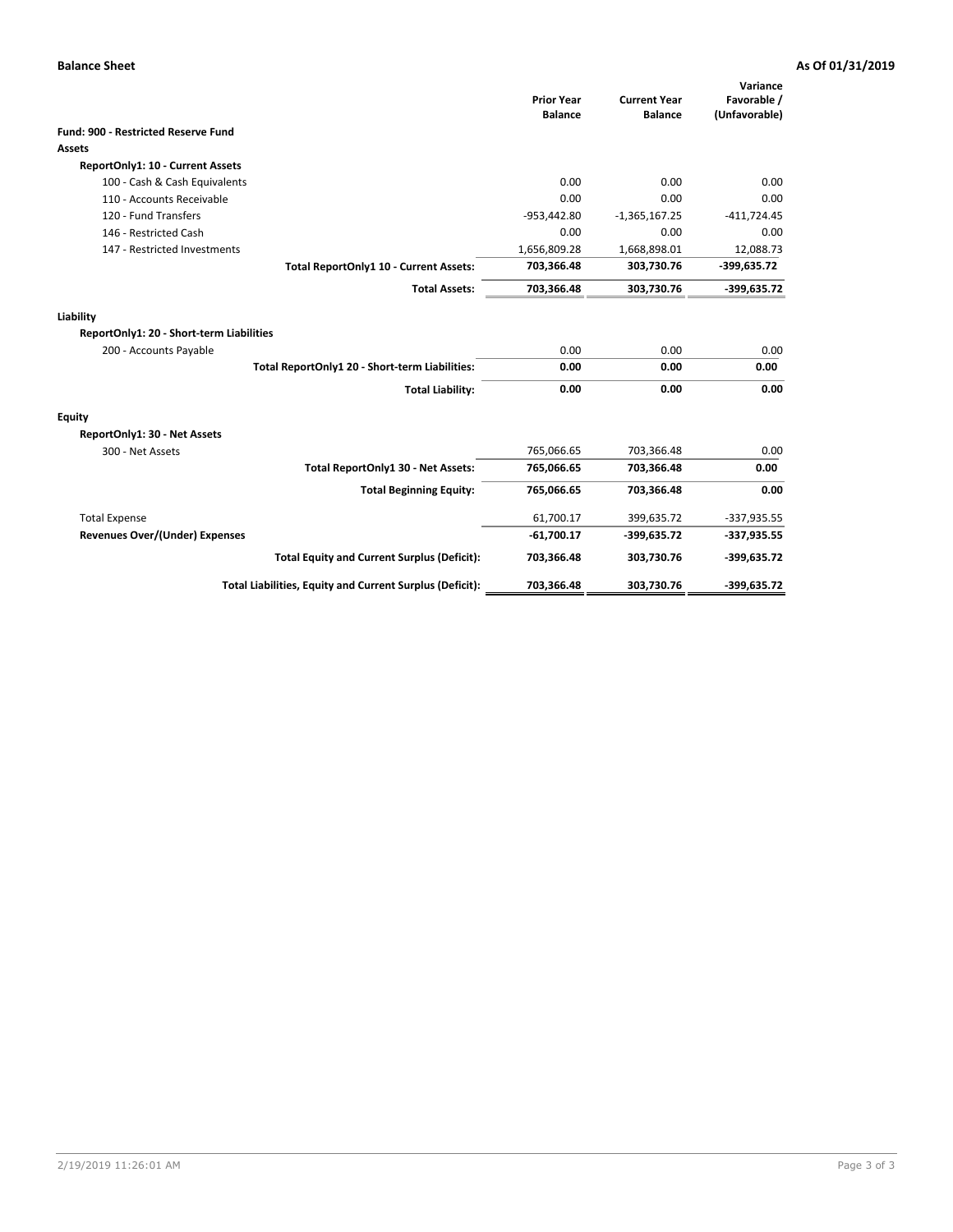### **Balance Sheet As Of 01/31/2019**

|                                                       |                                                          | <b>Prior Year</b><br><b>Balance</b> | <b>Current Year</b><br><b>Balance</b> | Variance<br>Favorable /<br>(Unfavorable) |
|-------------------------------------------------------|----------------------------------------------------------|-------------------------------------|---------------------------------------|------------------------------------------|
| <b>Fund: 900 - Restricted Reserve Fund</b>            |                                                          |                                     |                                       |                                          |
| Assets                                                |                                                          |                                     |                                       |                                          |
| ReportOnly1: 10 - Current Assets                      |                                                          |                                     |                                       |                                          |
| 100 - Cash & Cash Equivalents                         |                                                          | 0.00                                | 0.00                                  | 0.00                                     |
| 110 - Accounts Receivable                             |                                                          | 0.00                                | 0.00                                  | 0.00                                     |
| 120 - Fund Transfers                                  |                                                          | $-953,442.80$                       | $-1,365,167.25$                       | $-411,724.45$                            |
| 146 - Restricted Cash                                 |                                                          | 0.00                                | 0.00                                  | 0.00                                     |
| 147 - Restricted Investments                          |                                                          | 1,656,809.28                        | 1,668,898.01                          | 12,088.73                                |
|                                                       | Total ReportOnly1 10 - Current Assets:                   | 703,366.48                          | 303,730.76                            | -399,635.72                              |
|                                                       | <b>Total Assets:</b>                                     | 703,366.48                          | 303,730.76                            | $-399,635.72$                            |
| Liability<br>ReportOnly1: 20 - Short-term Liabilities |                                                          |                                     |                                       |                                          |
|                                                       |                                                          |                                     | 0.00                                  |                                          |
| 200 - Accounts Payable                                |                                                          | 0.00                                |                                       | 0.00                                     |
|                                                       | Total ReportOnly1 20 - Short-term Liabilities:           | 0.00                                | 0.00                                  | 0.00                                     |
|                                                       | <b>Total Liability:</b>                                  | 0.00                                | 0.00                                  | 0.00                                     |
| Equity                                                |                                                          |                                     |                                       |                                          |
| ReportOnly1: 30 - Net Assets                          |                                                          |                                     |                                       |                                          |
| 300 - Net Assets                                      |                                                          | 765,066.65                          | 703,366.48                            | 0.00                                     |
|                                                       | Total ReportOnly1 30 - Net Assets:                       | 765,066.65                          | 703,366.48                            | 0.00                                     |
|                                                       | <b>Total Beginning Equity:</b>                           | 765,066.65                          | 703,366.48                            | 0.00                                     |
| <b>Total Expense</b>                                  |                                                          | 61,700.17                           | 399,635.72                            | $-337,935.55$                            |
| <b>Revenues Over/(Under) Expenses</b>                 |                                                          | $-61,700.17$                        | -399,635.72                           | $-337,935.55$                            |
|                                                       | <b>Total Equity and Current Surplus (Deficit):</b>       | 703,366.48                          | 303,730.76                            | -399,635.72                              |
|                                                       | Total Liabilities, Equity and Current Surplus (Deficit): | 703,366.48                          | 303,730.76                            | -399,635.72                              |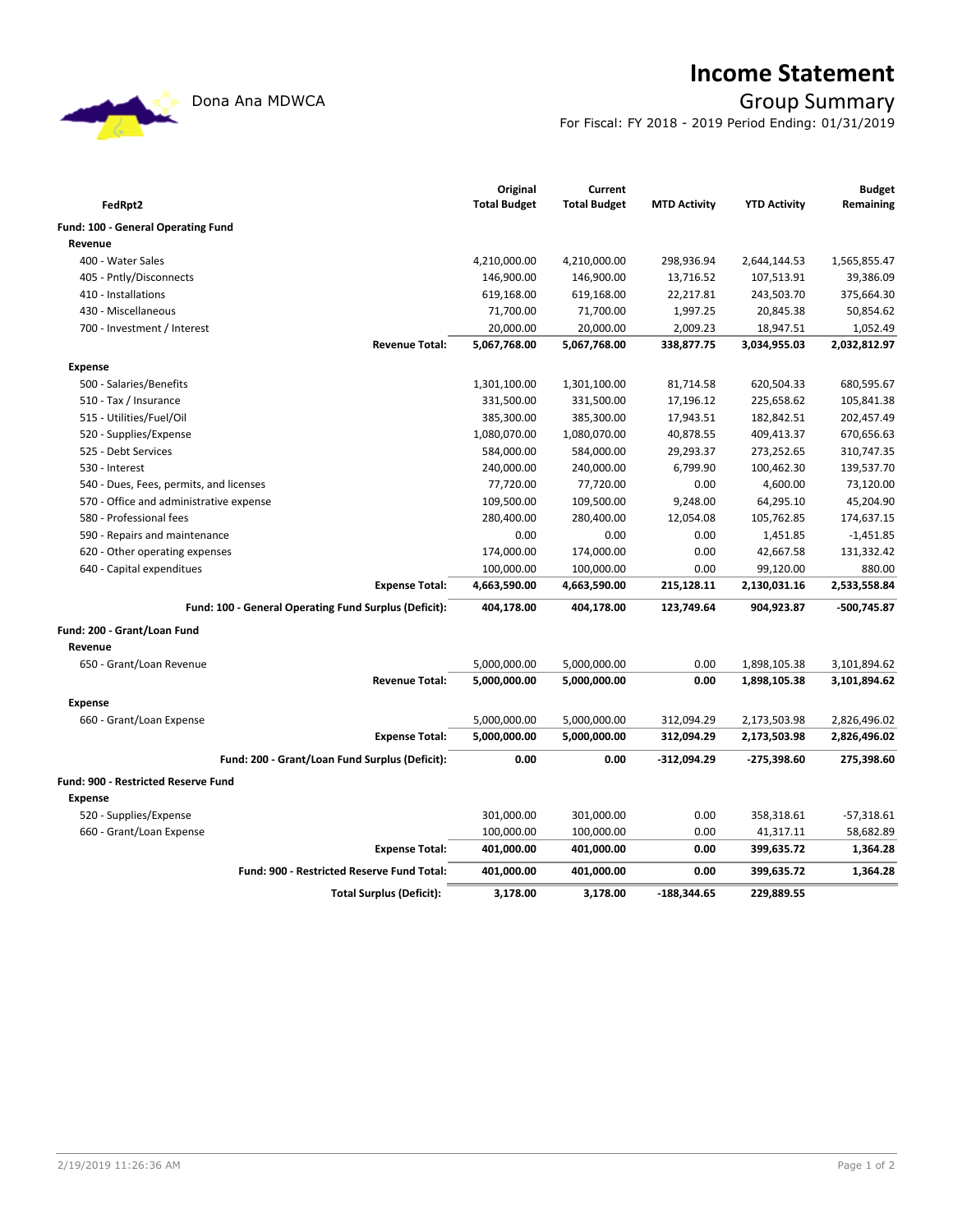## **Income Statement**

## Dona Ana MDWCA **Group Summary**

For Fiscal: FY 2018 - 2019 Period Ending: 01/31/2019

| FedRpt2                                    |                                                       | Original<br><b>Total Budget</b> | Current<br><b>Total Budget</b> | <b>MTD Activity</b> | <b>YTD Activity</b> | <b>Budget</b><br>Remaining |
|--------------------------------------------|-------------------------------------------------------|---------------------------------|--------------------------------|---------------------|---------------------|----------------------------|
| Fund: 100 - General Operating Fund         |                                                       |                                 |                                |                     |                     |                            |
| Revenue                                    |                                                       |                                 |                                |                     |                     |                            |
| 400 - Water Sales                          |                                                       | 4,210,000.00                    | 4,210,000.00                   | 298,936.94          | 2,644,144.53        | 1,565,855.47               |
| 405 - Pntly/Disconnects                    |                                                       | 146,900.00                      | 146,900.00                     | 13,716.52           | 107,513.91          | 39,386.09                  |
| 410 - Installations                        |                                                       | 619,168.00                      | 619,168.00                     | 22,217.81           | 243,503.70          | 375,664.30                 |
| 430 - Miscellaneous                        |                                                       | 71,700.00                       | 71,700.00                      | 1,997.25            | 20,845.38           | 50,854.62                  |
| 700 - Investment / Interest                |                                                       | 20,000.00                       | 20,000.00                      | 2,009.23            | 18,947.51           | 1,052.49                   |
|                                            | <b>Revenue Total:</b>                                 | 5,067,768.00                    | 5,067,768.00                   | 338,877.75          | 3,034,955.03        | 2,032,812.97               |
| <b>Expense</b>                             |                                                       |                                 |                                |                     |                     |                            |
| 500 - Salaries/Benefits                    |                                                       | 1,301,100.00                    | 1,301,100.00                   | 81,714.58           | 620,504.33          | 680,595.67                 |
| 510 - Tax / Insurance                      |                                                       | 331,500.00                      | 331,500.00                     | 17,196.12           | 225,658.62          | 105,841.38                 |
| 515 - Utilities/Fuel/Oil                   |                                                       | 385,300.00                      | 385,300.00                     | 17,943.51           | 182,842.51          | 202,457.49                 |
| 520 - Supplies/Expense                     |                                                       | 1,080,070.00                    | 1,080,070.00                   | 40,878.55           | 409,413.37          | 670,656.63                 |
| 525 - Debt Services                        |                                                       | 584,000.00                      | 584,000.00                     | 29,293.37           | 273,252.65          | 310,747.35                 |
| 530 - Interest                             |                                                       | 240,000.00                      | 240,000.00                     | 6,799.90            | 100,462.30          | 139,537.70                 |
| 540 - Dues, Fees, permits, and licenses    |                                                       | 77,720.00                       | 77,720.00                      | 0.00                | 4,600.00            | 73,120.00                  |
| 570 - Office and administrative expense    |                                                       | 109,500.00                      | 109,500.00                     | 9,248.00            | 64,295.10           | 45,204.90                  |
| 580 - Professional fees                    |                                                       | 280,400.00                      | 280,400.00                     | 12,054.08           | 105,762.85          | 174,637.15                 |
| 590 - Repairs and maintenance              |                                                       | 0.00                            | 0.00                           | 0.00                | 1,451.85            | $-1,451.85$                |
| 620 - Other operating expenses             |                                                       | 174,000.00                      | 174,000.00                     | 0.00                | 42,667.58           | 131,332.42                 |
| 640 - Capital expenditues                  |                                                       | 100,000.00                      | 100,000.00                     | 0.00                | 99,120.00           | 880.00                     |
|                                            | <b>Expense Total:</b>                                 | 4,663,590.00                    | 4,663,590.00                   | 215,128.11          | 2,130,031.16        | 2,533,558.84               |
|                                            | Fund: 100 - General Operating Fund Surplus (Deficit): | 404,178.00                      | 404,178.00                     | 123,749.64          | 904,923.87          | -500,745.87                |
|                                            |                                                       |                                 |                                |                     |                     |                            |
| Fund: 200 - Grant/Loan Fund                |                                                       |                                 |                                |                     |                     |                            |
| Revenue                                    |                                                       |                                 |                                |                     |                     |                            |
| 650 - Grant/Loan Revenue                   |                                                       | 5,000,000.00                    | 5,000,000.00                   | 0.00                | 1,898,105.38        | 3,101,894.62               |
|                                            | <b>Revenue Total:</b>                                 | 5,000,000.00                    | 5,000,000.00                   | 0.00                | 1,898,105.38        | 3,101,894.62               |
| <b>Expense</b>                             |                                                       |                                 |                                |                     |                     |                            |
| 660 - Grant/Loan Expense                   |                                                       | 5,000,000.00                    | 5,000,000.00                   | 312,094.29          | 2,173,503.98        | 2,826,496.02               |
|                                            | <b>Expense Total:</b>                                 | 5,000,000.00                    | 5,000,000.00                   | 312,094.29          | 2,173,503.98        | 2,826,496.02               |
|                                            | Fund: 200 - Grant/Loan Fund Surplus (Deficit):        | 0.00                            | 0.00                           | -312,094.29         | -275,398.60         | 275,398.60                 |
| <b>Fund: 900 - Restricted Reserve Fund</b> |                                                       |                                 |                                |                     |                     |                            |
| <b>Expense</b>                             |                                                       |                                 |                                |                     |                     |                            |
| 520 - Supplies/Expense                     |                                                       | 301,000.00                      | 301,000.00                     | 0.00                | 358,318.61          | $-57,318.61$               |
| 660 - Grant/Loan Expense                   |                                                       | 100,000.00                      | 100,000.00                     | 0.00                | 41,317.11           | 58,682.89                  |
|                                            | <b>Expense Total:</b>                                 | 401,000.00                      | 401,000.00                     | 0.00                | 399,635.72          | 1,364.28                   |
|                                            | Fund: 900 - Restricted Reserve Fund Total:            | 401,000.00                      | 401,000.00                     | 0.00                | 399,635.72          | 1,364.28                   |
|                                            | <b>Total Surplus (Deficit):</b>                       | 3,178.00                        | 3,178.00                       | $-188,344.65$       | 229,889.55          |                            |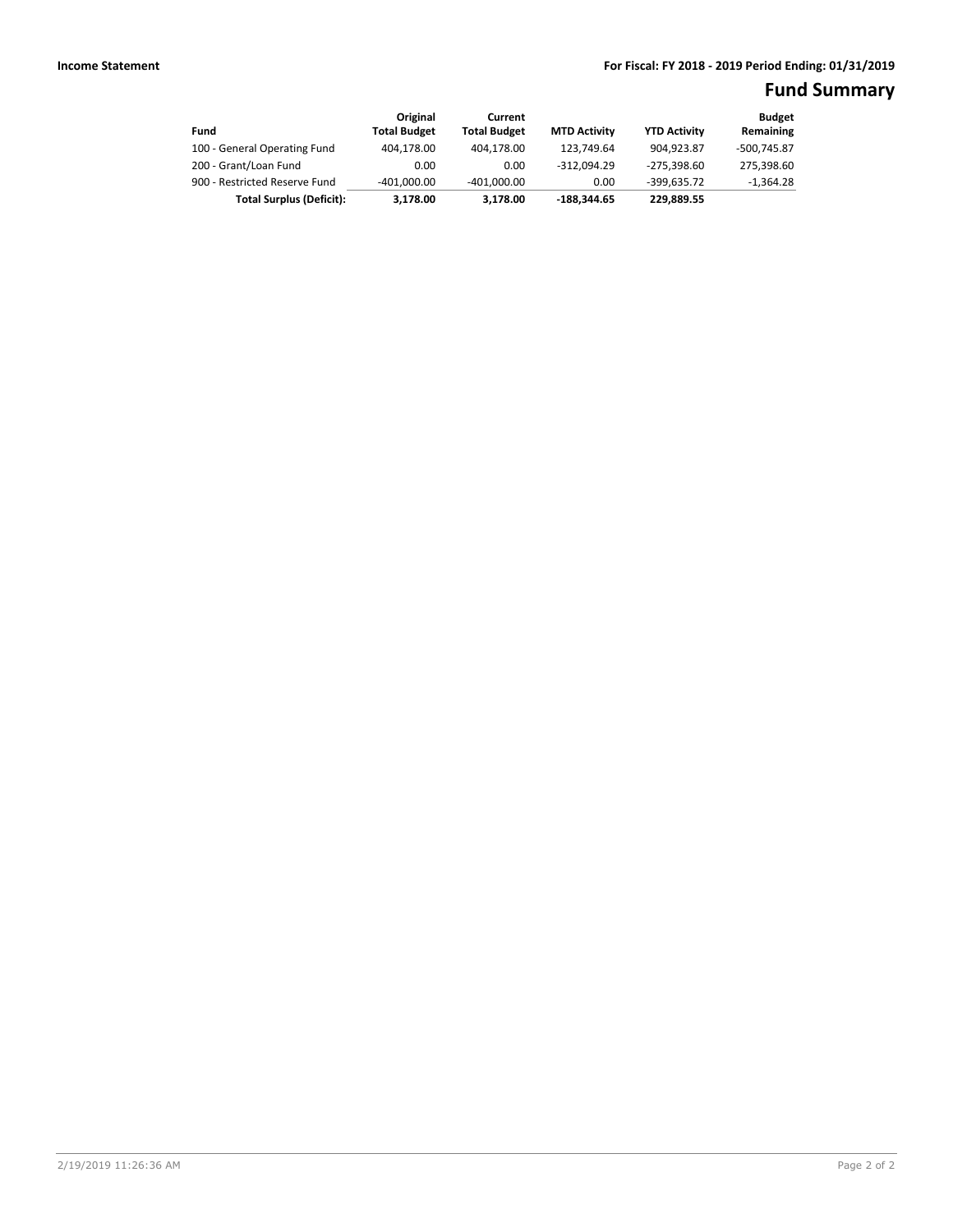## **Fund Summary**

| Fund                            | Original<br><b>Total Budget</b> | Current<br><b>Total Budget</b> | <b>MTD Activity</b> | <b>YTD Activity</b> | <b>Budget</b><br>Remaining |
|---------------------------------|---------------------------------|--------------------------------|---------------------|---------------------|----------------------------|
| 100 - General Operating Fund    | 404.178.00                      | 404.178.00                     | 123.749.64          | 904.923.87          | -500.745.87                |
| 200 - Grant/Loan Fund           | 0.00                            | 0.00                           | $-312.094.29$       | -275,398.60         | 275,398.60                 |
| 900 - Restricted Reserve Fund   | $-401.000.00$                   | $-401.000.00$                  | 0.00                | $-399.635.72$       | $-1,364.28$                |
| <b>Total Surplus (Deficit):</b> | 3.178.00                        | 3,178.00                       | -188.344.65         | 229,889.55          |                            |